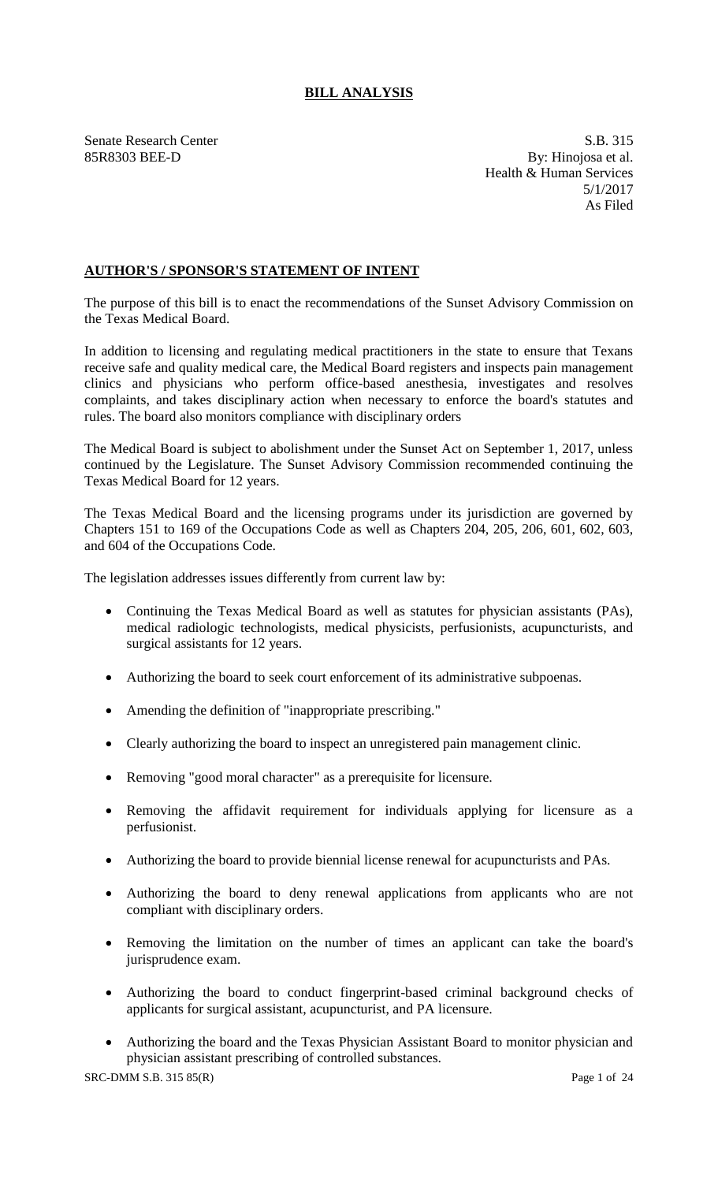# **BILL ANALYSIS**

Senate Research Center S.B. 315 85R8303 BEE-D By: Hinojosa et al. Health & Human Services 5/1/2017 As Filed

# **AUTHOR'S / SPONSOR'S STATEMENT OF INTENT**

The purpose of this bill is to enact the recommendations of the Sunset Advisory Commission on the Texas Medical Board.

In addition to licensing and regulating medical practitioners in the state to ensure that Texans receive safe and quality medical care, the Medical Board registers and inspects pain management clinics and physicians who perform office-based anesthesia, investigates and resolves complaints, and takes disciplinary action when necessary to enforce the board's statutes and rules. The board also monitors compliance with disciplinary orders

The Medical Board is subject to abolishment under the Sunset Act on September 1, 2017, unless continued by the Legislature. The Sunset Advisory Commission recommended continuing the Texas Medical Board for 12 years.

The Texas Medical Board and the licensing programs under its jurisdiction are governed by Chapters 151 to 169 of the Occupations Code as well as Chapters 204, 205, 206, 601, 602, 603, and 604 of the Occupations Code.

The legislation addresses issues differently from current law by:

- Continuing the Texas Medical Board as well as statutes for physician assistants (PAs), medical radiologic technologists, medical physicists, perfusionists, acupuncturists, and surgical assistants for 12 years.
- Authorizing the board to seek court enforcement of its administrative subpoenas.
- Amending the definition of "inappropriate prescribing."
- Clearly authorizing the board to inspect an unregistered pain management clinic.
- Removing "good moral character" as a prerequisite for licensure.
- Removing the affidavit requirement for individuals applying for licensure as a perfusionist.
- Authorizing the board to provide biennial license renewal for acupuncturists and PAs.
- Authorizing the board to deny renewal applications from applicants who are not compliant with disciplinary orders.
- Removing the limitation on the number of times an applicant can take the board's jurisprudence exam.
- Authorizing the board to conduct fingerprint-based criminal background checks of applicants for surgical assistant, acupuncturist, and PA licensure.
- Authorizing the board and the Texas Physician Assistant Board to monitor physician and physician assistant prescribing of controlled substances.

SRC-DMM S.B. 315 85(R) Page 1 of 24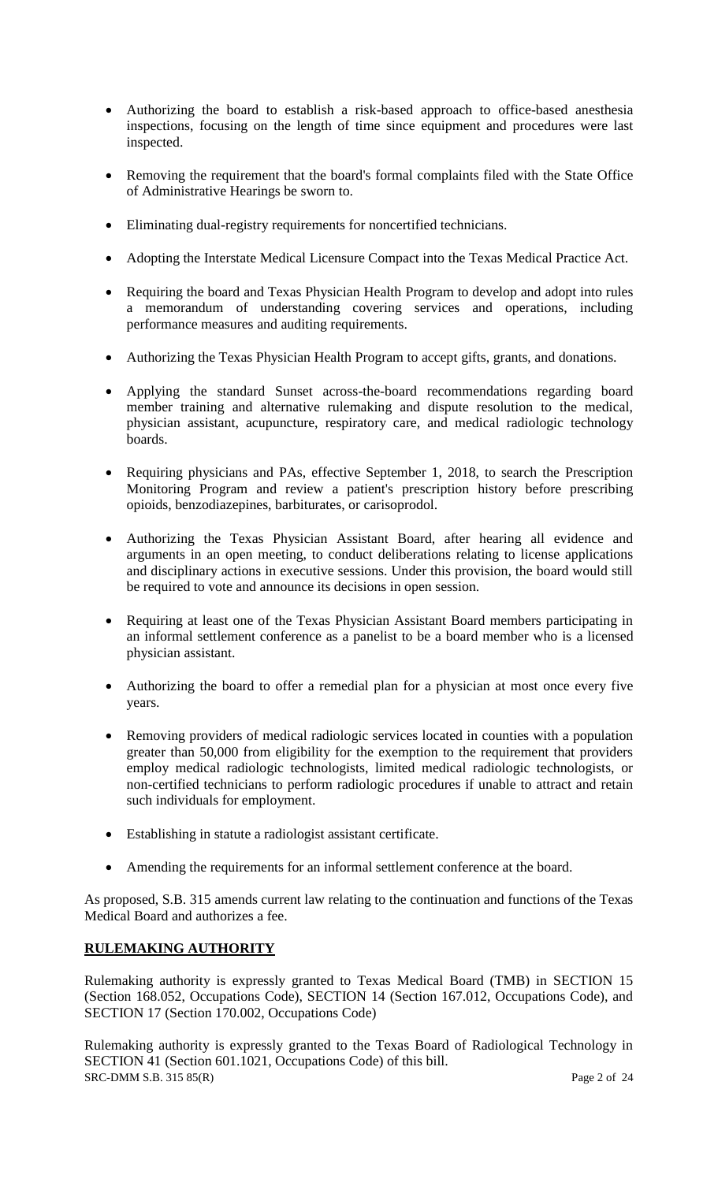- Authorizing the board to establish a risk-based approach to office-based anesthesia inspections, focusing on the length of time since equipment and procedures were last inspected.
- Removing the requirement that the board's formal complaints filed with the State Office of Administrative Hearings be sworn to.
- Eliminating dual-registry requirements for noncertified technicians.
- Adopting the Interstate Medical Licensure Compact into the Texas Medical Practice Act.
- Requiring the board and Texas Physician Health Program to develop and adopt into rules a memorandum of understanding covering services and operations, including performance measures and auditing requirements.
- Authorizing the Texas Physician Health Program to accept gifts, grants, and donations.
- Applying the standard Sunset across-the-board recommendations regarding board member training and alternative rulemaking and dispute resolution to the medical, physician assistant, acupuncture, respiratory care, and medical radiologic technology boards.
- Requiring physicians and PAs, effective September 1, 2018, to search the Prescription Monitoring Program and review a patient's prescription history before prescribing opioids, benzodiazepines, barbiturates, or carisoprodol.
- Authorizing the Texas Physician Assistant Board, after hearing all evidence and arguments in an open meeting, to conduct deliberations relating to license applications and disciplinary actions in executive sessions. Under this provision, the board would still be required to vote and announce its decisions in open session.
- Requiring at least one of the Texas Physician Assistant Board members participating in an informal settlement conference as a panelist to be a board member who is a licensed physician assistant.
- Authorizing the board to offer a remedial plan for a physician at most once every five years.
- Removing providers of medical radiologic services located in counties with a population greater than 50,000 from eligibility for the exemption to the requirement that providers employ medical radiologic technologists, limited medical radiologic technologists, or non-certified technicians to perform radiologic procedures if unable to attract and retain such individuals for employment.
- Establishing in statute a radiologist assistant certificate.
- Amending the requirements for an informal settlement conference at the board.

As proposed, S.B. 315 amends current law relating to the continuation and functions of the Texas Medical Board and authorizes a fee.

# **RULEMAKING AUTHORITY**

Rulemaking authority is expressly granted to Texas Medical Board (TMB) in SECTION 15 (Section 168.052, Occupations Code), SECTION 14 (Section 167.012, Occupations Code), and SECTION 17 (Section 170.002, Occupations Code)

SRC-DMM S.B. 315 85(R) Page 2 of 24 Rulemaking authority is expressly granted to the Texas Board of Radiological Technology in SECTION 41 (Section 601.1021, Occupations Code) of this bill.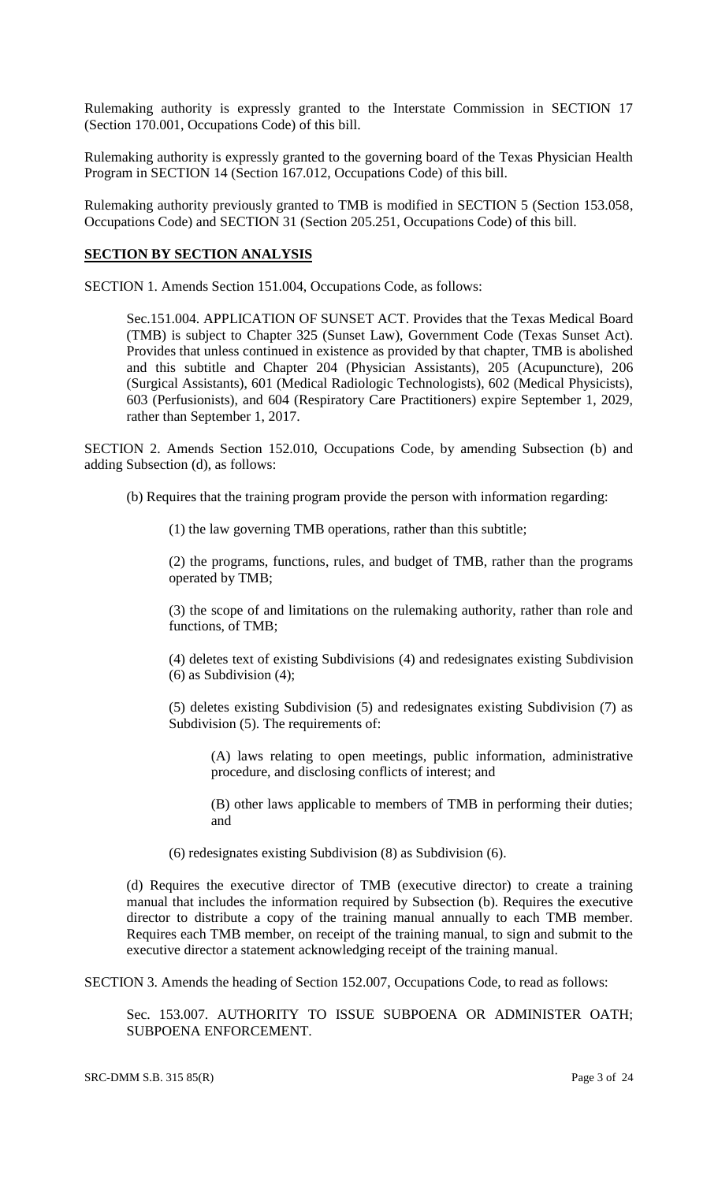Rulemaking authority is expressly granted to the Interstate Commission in SECTION 17 (Section 170.001, Occupations Code) of this bill.

Rulemaking authority is expressly granted to the governing board of the Texas Physician Health Program in SECTION 14 (Section 167.012, Occupations Code) of this bill.

Rulemaking authority previously granted to TMB is modified in SECTION 5 (Section 153.058, Occupations Code) and SECTION 31 (Section 205.251, Occupations Code) of this bill.

### **SECTION BY SECTION ANALYSIS**

SECTION 1. Amends Section 151.004, Occupations Code, as follows:

Sec.151.004. APPLICATION OF SUNSET ACT. Provides that the Texas Medical Board (TMB) is subject to Chapter 325 (Sunset Law), Government Code (Texas Sunset Act). Provides that unless continued in existence as provided by that chapter, TMB is abolished and this subtitle and Chapter 204 (Physician Assistants), 205 (Acupuncture), 206 (Surgical Assistants), 601 (Medical Radiologic Technologists), 602 (Medical Physicists), 603 (Perfusionists), and 604 (Respiratory Care Practitioners) expire September 1, 2029, rather than September 1, 2017.

SECTION 2. Amends Section 152.010, Occupations Code, by amending Subsection (b) and adding Subsection (d), as follows:

(b) Requires that the training program provide the person with information regarding:

(1) the law governing TMB operations, rather than this subtitle;

(2) the programs, functions, rules, and budget of TMB, rather than the programs operated by TMB;

(3) the scope of and limitations on the rulemaking authority, rather than role and functions, of TMB;

(4) deletes text of existing Subdivisions (4) and redesignates existing Subdivision (6) as Subdivision (4);

(5) deletes existing Subdivision (5) and redesignates existing Subdivision (7) as Subdivision (5). The requirements of:

(A) laws relating to open meetings, public information, administrative procedure, and disclosing conflicts of interest; and

(B) other laws applicable to members of TMB in performing their duties; and

(6) redesignates existing Subdivision (8) as Subdivision (6).

(d) Requires the executive director of TMB (executive director) to create a training manual that includes the information required by Subsection (b). Requires the executive director to distribute a copy of the training manual annually to each TMB member. Requires each TMB member, on receipt of the training manual, to sign and submit to the executive director a statement acknowledging receipt of the training manual.

SECTION 3. Amends the heading of Section 152.007, Occupations Code, to read as follows:

Sec. 153.007. AUTHORITY TO ISSUE SUBPOENA OR ADMINISTER OATH; SUBPOENA ENFORCEMENT.

SRC-DMM S.B. 315 85(R) Page 3 of 24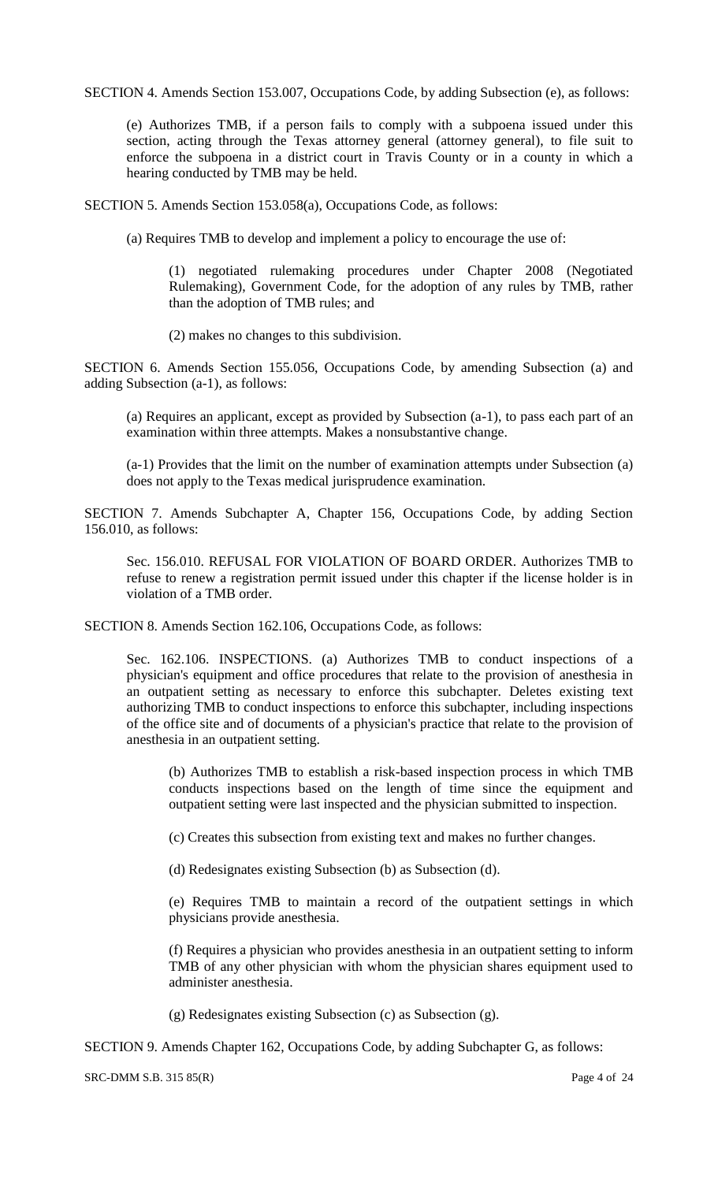SECTION 4. Amends Section 153.007, Occupations Code, by adding Subsection (e), as follows:

(e) Authorizes TMB, if a person fails to comply with a subpoena issued under this section, acting through the Texas attorney general (attorney general), to file suit to enforce the subpoena in a district court in Travis County or in a county in which a hearing conducted by TMB may be held.

SECTION 5. Amends Section 153.058(a), Occupations Code, as follows:

(a) Requires TMB to develop and implement a policy to encourage the use of:

(1) negotiated rulemaking procedures under Chapter 2008 (Negotiated Rulemaking), Government Code, for the adoption of any rules by TMB, rather than the adoption of TMB rules; and

(2) makes no changes to this subdivision.

SECTION 6. Amends Section 155.056, Occupations Code, by amending Subsection (a) and adding Subsection (a-1), as follows:

(a) Requires an applicant, except as provided by Subsection (a-1), to pass each part of an examination within three attempts. Makes a nonsubstantive change.

(a-1) Provides that the limit on the number of examination attempts under Subsection (a) does not apply to the Texas medical jurisprudence examination.

SECTION 7. Amends Subchapter A, Chapter 156, Occupations Code, by adding Section 156.010, as follows:

Sec. 156.010. REFUSAL FOR VIOLATION OF BOARD ORDER. Authorizes TMB to refuse to renew a registration permit issued under this chapter if the license holder is in violation of a TMB order.

SECTION 8. Amends Section 162.106, Occupations Code, as follows:

Sec. 162.106. INSPECTIONS. (a) Authorizes TMB to conduct inspections of a physician's equipment and office procedures that relate to the provision of anesthesia in an outpatient setting as necessary to enforce this subchapter. Deletes existing text authorizing TMB to conduct inspections to enforce this subchapter, including inspections of the office site and of documents of a physician's practice that relate to the provision of anesthesia in an outpatient setting.

(b) Authorizes TMB to establish a risk-based inspection process in which TMB conducts inspections based on the length of time since the equipment and outpatient setting were last inspected and the physician submitted to inspection.

(c) Creates this subsection from existing text and makes no further changes.

(d) Redesignates existing Subsection (b) as Subsection (d).

(e) Requires TMB to maintain a record of the outpatient settings in which physicians provide anesthesia.

(f) Requires a physician who provides anesthesia in an outpatient setting to inform TMB of any other physician with whom the physician shares equipment used to administer anesthesia.

(g) Redesignates existing Subsection (c) as Subsection (g).

SECTION 9. Amends Chapter 162, Occupations Code, by adding Subchapter G, as follows:

SRC-DMM S.B. 315 85(R) Page 4 of 24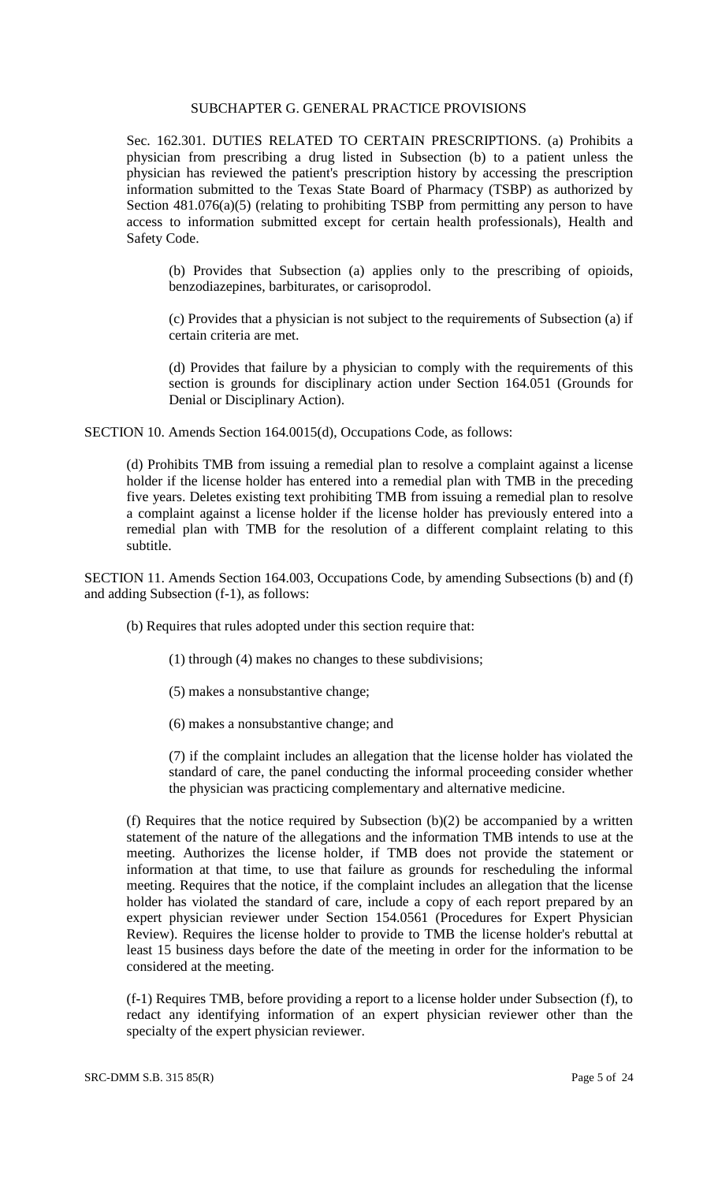# SUBCHAPTER G. GENERAL PRACTICE PROVISIONS

Sec. 162.301. DUTIES RELATED TO CERTAIN PRESCRIPTIONS. (a) Prohibits a physician from prescribing a drug listed in Subsection (b) to a patient unless the physician has reviewed the patient's prescription history by accessing the prescription information submitted to the Texas State Board of Pharmacy (TSBP) as authorized by Section 481.076(a)(5) (relating to prohibiting TSBP from permitting any person to have access to information submitted except for certain health professionals), Health and Safety Code.

(b) Provides that Subsection (a) applies only to the prescribing of opioids, benzodiazepines, barbiturates, or carisoprodol.

(c) Provides that a physician is not subject to the requirements of Subsection (a) if certain criteria are met.

(d) Provides that failure by a physician to comply with the requirements of this section is grounds for disciplinary action under Section 164.051 (Grounds for Denial or Disciplinary Action).

SECTION 10. Amends Section 164.0015(d), Occupations Code, as follows:

(d) Prohibits TMB from issuing a remedial plan to resolve a complaint against a license holder if the license holder has entered into a remedial plan with TMB in the preceding five years. Deletes existing text prohibiting TMB from issuing a remedial plan to resolve a complaint against a license holder if the license holder has previously entered into a remedial plan with TMB for the resolution of a different complaint relating to this subtitle.

SECTION 11. Amends Section 164.003, Occupations Code, by amending Subsections (b) and (f) and adding Subsection (f-1), as follows:

(b) Requires that rules adopted under this section require that:

(1) through (4) makes no changes to these subdivisions;

- (5) makes a nonsubstantive change;
- (6) makes a nonsubstantive change; and

(7) if the complaint includes an allegation that the license holder has violated the standard of care, the panel conducting the informal proceeding consider whether the physician was practicing complementary and alternative medicine.

(f) Requires that the notice required by Subsection  $(b)(2)$  be accompanied by a written statement of the nature of the allegations and the information TMB intends to use at the meeting. Authorizes the license holder, if TMB does not provide the statement or information at that time, to use that failure as grounds for rescheduling the informal meeting. Requires that the notice, if the complaint includes an allegation that the license holder has violated the standard of care, include a copy of each report prepared by an expert physician reviewer under Section 154.0561 (Procedures for Expert Physician Review). Requires the license holder to provide to TMB the license holder's rebuttal at least 15 business days before the date of the meeting in order for the information to be considered at the meeting.

(f-1) Requires TMB, before providing a report to a license holder under Subsection (f), to redact any identifying information of an expert physician reviewer other than the specialty of the expert physician reviewer.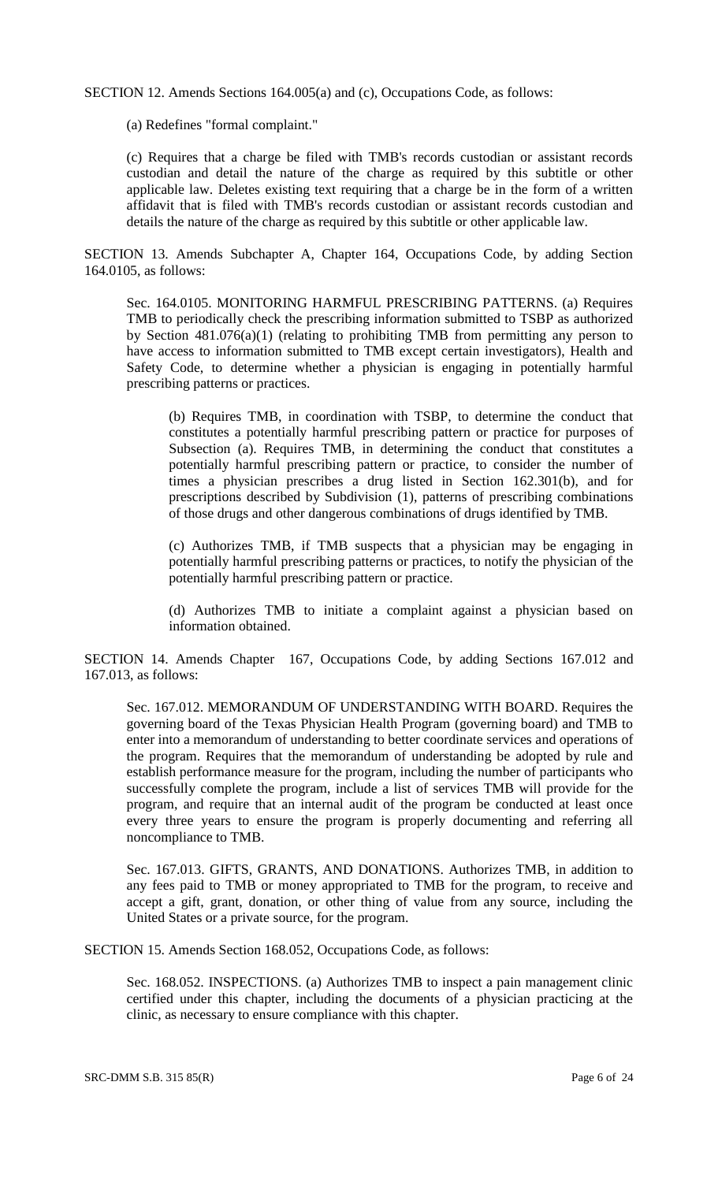SECTION 12. Amends Sections 164.005(a) and (c), Occupations Code, as follows:

(a) Redefines "formal complaint."

(c) Requires that a charge be filed with TMB's records custodian or assistant records custodian and detail the nature of the charge as required by this subtitle or other applicable law. Deletes existing text requiring that a charge be in the form of a written affidavit that is filed with TMB's records custodian or assistant records custodian and details the nature of the charge as required by this subtitle or other applicable law.

SECTION 13. Amends Subchapter A, Chapter 164, Occupations Code, by adding Section 164.0105, as follows:

Sec. 164.0105. MONITORING HARMFUL PRESCRIBING PATTERNS. (a) Requires TMB to periodically check the prescribing information submitted to TSBP as authorized by Section 481.076(a)(1) (relating to prohibiting TMB from permitting any person to have access to information submitted to TMB except certain investigators), Health and Safety Code, to determine whether a physician is engaging in potentially harmful prescribing patterns or practices.

(b) Requires TMB, in coordination with TSBP, to determine the conduct that constitutes a potentially harmful prescribing pattern or practice for purposes of Subsection (a). Requires TMB, in determining the conduct that constitutes a potentially harmful prescribing pattern or practice, to consider the number of times a physician prescribes a drug listed in Section 162.301(b), and for prescriptions described by Subdivision (1), patterns of prescribing combinations of those drugs and other dangerous combinations of drugs identified by TMB.

(c) Authorizes TMB, if TMB suspects that a physician may be engaging in potentially harmful prescribing patterns or practices, to notify the physician of the potentially harmful prescribing pattern or practice.

(d) Authorizes TMB to initiate a complaint against a physician based on information obtained.

SECTION 14. Amends Chapter 167, Occupations Code, by adding Sections 167.012 and 167.013, as follows:

Sec. 167.012. MEMORANDUM OF UNDERSTANDING WITH BOARD. Requires the governing board of the Texas Physician Health Program (governing board) and TMB to enter into a memorandum of understanding to better coordinate services and operations of the program. Requires that the memorandum of understanding be adopted by rule and establish performance measure for the program, including the number of participants who successfully complete the program, include a list of services TMB will provide for the program, and require that an internal audit of the program be conducted at least once every three years to ensure the program is properly documenting and referring all noncompliance to TMB.

Sec. 167.013. GIFTS, GRANTS, AND DONATIONS. Authorizes TMB, in addition to any fees paid to TMB or money appropriated to TMB for the program, to receive and accept a gift, grant, donation, or other thing of value from any source, including the United States or a private source, for the program.

SECTION 15. Amends Section 168.052, Occupations Code, as follows:

Sec. 168.052. INSPECTIONS. (a) Authorizes TMB to inspect a pain management clinic certified under this chapter, including the documents of a physician practicing at the clinic, as necessary to ensure compliance with this chapter.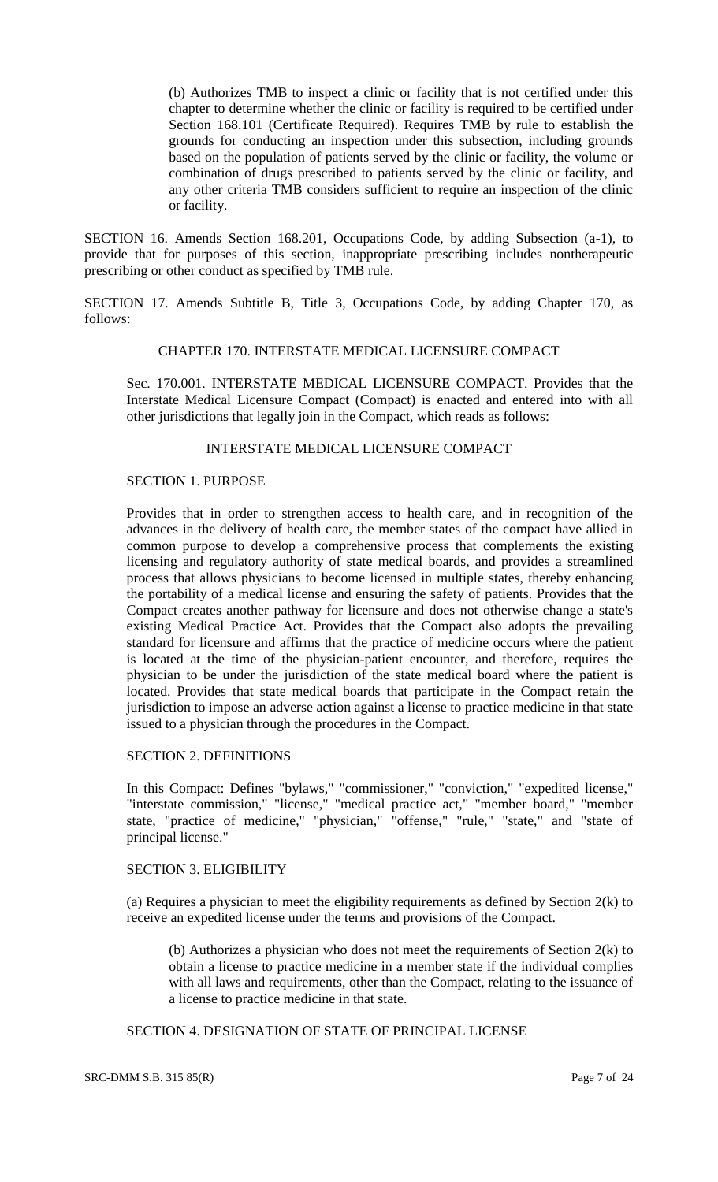(b) Authorizes TMB to inspect a clinic or facility that is not certified under this chapter to determine whether the clinic or facility is required to be certified under Section 168.101 (Certificate Required). Requires TMB by rule to establish the grounds for conducting an inspection under this subsection, including grounds based on the population of patients served by the clinic or facility, the volume or combination of drugs prescribed to patients served by the clinic or facility, and any other criteria TMB considers sufficient to require an inspection of the clinic or facility.

SECTION 16. Amends Section 168.201, Occupations Code, by adding Subsection (a-1), to provide that for purposes of this section, inappropriate prescribing includes nontherapeutic prescribing or other conduct as specified by TMB rule.

SECTION 17. Amends Subtitle B, Title 3, Occupations Code, by adding Chapter 170, as follows:

## CHAPTER 170. INTERSTATE MEDICAL LICENSURE COMPACT

Sec. 170.001. INTERSTATE MEDICAL LICENSURE COMPACT. Provides that the Interstate Medical Licensure Compact (Compact) is enacted and entered into with all other jurisdictions that legally join in the Compact, which reads as follows:

#### INTERSTATE MEDICAL LICENSURE COMPACT

# SECTION 1. PURPOSE

Provides that in order to strengthen access to health care, and in recognition of the advances in the delivery of health care, the member states of the compact have allied in common purpose to develop a comprehensive process that complements the existing licensing and regulatory authority of state medical boards, and provides a streamlined process that allows physicians to become licensed in multiple states, thereby enhancing the portability of a medical license and ensuring the safety of patients. Provides that the Compact creates another pathway for licensure and does not otherwise change a state's existing Medical Practice Act. Provides that the Compact also adopts the prevailing standard for licensure and affirms that the practice of medicine occurs where the patient is located at the time of the physician-patient encounter, and therefore, requires the physician to be under the jurisdiction of the state medical board where the patient is located. Provides that state medical boards that participate in the Compact retain the jurisdiction to impose an adverse action against a license to practice medicine in that state issued to a physician through the procedures in the Compact.

#### SECTION 2. DEFINITIONS

In this Compact: Defines "bylaws," "commissioner," "conviction," "expedited license," "interstate commission," "license," "medical practice act," "member board," "member state, "practice of medicine," "physician," "offense," "rule," "state," and "state of principal license."

#### SECTION 3. ELIGIBILITY

(a) Requires a physician to meet the eligibility requirements as defined by Section 2(k) to receive an expedited license under the terms and provisions of the Compact.

(b) Authorizes a physician who does not meet the requirements of Section 2(k) to obtain a license to practice medicine in a member state if the individual complies with all laws and requirements, other than the Compact, relating to the issuance of a license to practice medicine in that state.

SECTION 4. DESIGNATION OF STATE OF PRINCIPAL LICENSE

SRC-DMM S.B. 315 85(R) Page 7 of 24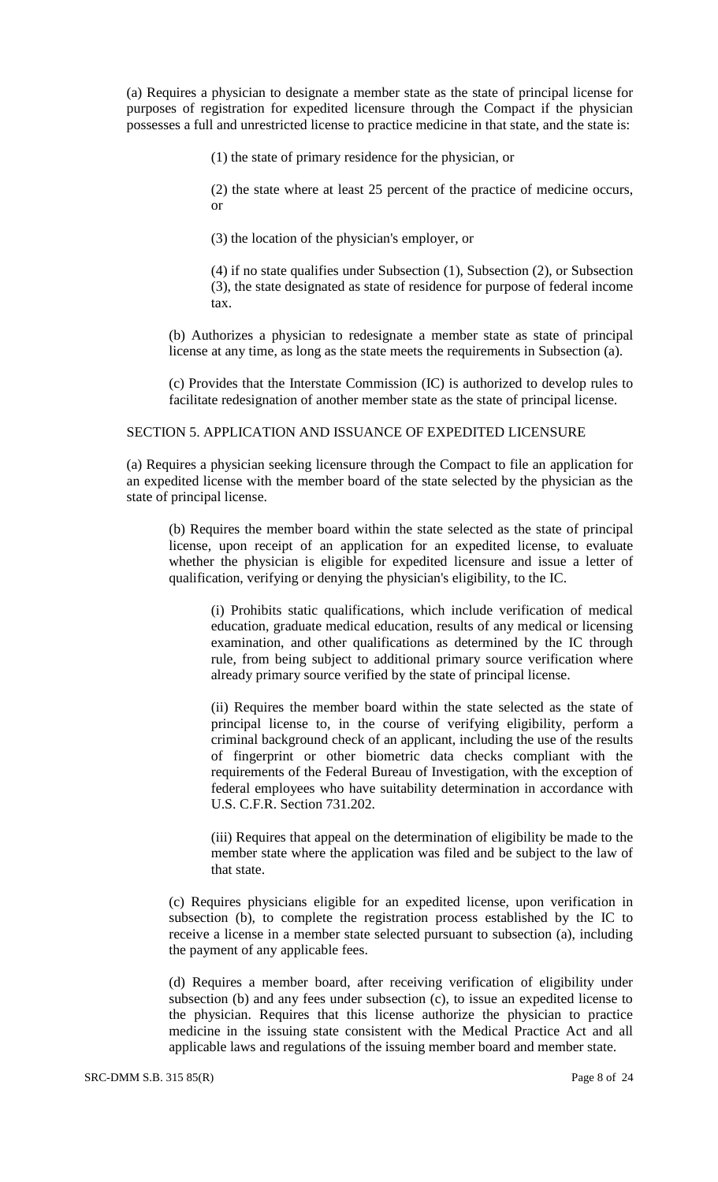(a) Requires a physician to designate a member state as the state of principal license for purposes of registration for expedited licensure through the Compact if the physician possesses a full and unrestricted license to practice medicine in that state, and the state is:

(1) the state of primary residence for the physician, or

(2) the state where at least 25 percent of the practice of medicine occurs, or

(3) the location of the physician's employer, or

(4) if no state qualifies under Subsection (1), Subsection (2), or Subsection (3), the state designated as state of residence for purpose of federal income tax.

(b) Authorizes a physician to redesignate a member state as state of principal license at any time, as long as the state meets the requirements in Subsection (a).

(c) Provides that the Interstate Commission (IC) is authorized to develop rules to facilitate redesignation of another member state as the state of principal license.

# SECTION 5. APPLICATION AND ISSUANCE OF EXPEDITED LICENSURE

(a) Requires a physician seeking licensure through the Compact to file an application for an expedited license with the member board of the state selected by the physician as the state of principal license.

(b) Requires the member board within the state selected as the state of principal license, upon receipt of an application for an expedited license, to evaluate whether the physician is eligible for expedited licensure and issue a letter of qualification, verifying or denying the physician's eligibility, to the IC.

(i) Prohibits static qualifications, which include verification of medical education, graduate medical education, results of any medical or licensing examination, and other qualifications as determined by the IC through rule, from being subject to additional primary source verification where already primary source verified by the state of principal license.

(ii) Requires the member board within the state selected as the state of principal license to, in the course of verifying eligibility, perform a criminal background check of an applicant, including the use of the results of fingerprint or other biometric data checks compliant with the requirements of the Federal Bureau of Investigation, with the exception of federal employees who have suitability determination in accordance with U.S. C.F.R. Section 731.202.

(iii) Requires that appeal on the determination of eligibility be made to the member state where the application was filed and be subject to the law of that state.

(c) Requires physicians eligible for an expedited license, upon verification in subsection (b), to complete the registration process established by the IC to receive a license in a member state selected pursuant to subsection (a), including the payment of any applicable fees.

(d) Requires a member board, after receiving verification of eligibility under subsection (b) and any fees under subsection (c), to issue an expedited license to the physician. Requires that this license authorize the physician to practice medicine in the issuing state consistent with the Medical Practice Act and all applicable laws and regulations of the issuing member board and member state.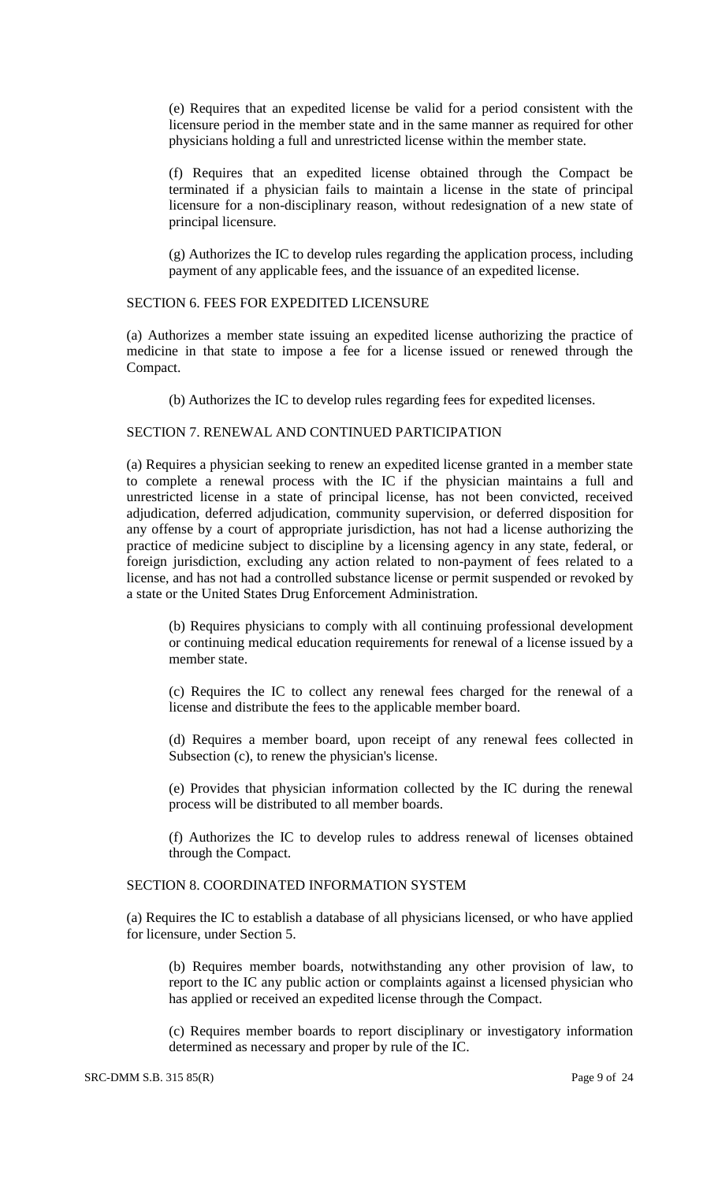(e) Requires that an expedited license be valid for a period consistent with the licensure period in the member state and in the same manner as required for other physicians holding a full and unrestricted license within the member state.

(f) Requires that an expedited license obtained through the Compact be terminated if a physician fails to maintain a license in the state of principal licensure for a non-disciplinary reason, without redesignation of a new state of principal licensure.

(g) Authorizes the IC to develop rules regarding the application process, including payment of any applicable fees, and the issuance of an expedited license.

#### SECTION 6. FEES FOR EXPEDITED LICENSURE

(a) Authorizes a member state issuing an expedited license authorizing the practice of medicine in that state to impose a fee for a license issued or renewed through the Compact.

(b) Authorizes the IC to develop rules regarding fees for expedited licenses.

### SECTION 7. RENEWAL AND CONTINUED PARTICIPATION

(a) Requires a physician seeking to renew an expedited license granted in a member state to complete a renewal process with the IC if the physician maintains a full and unrestricted license in a state of principal license, has not been convicted, received adjudication, deferred adjudication, community supervision, or deferred disposition for any offense by a court of appropriate jurisdiction, has not had a license authorizing the practice of medicine subject to discipline by a licensing agency in any state, federal, or foreign jurisdiction, excluding any action related to non-payment of fees related to a license, and has not had a controlled substance license or permit suspended or revoked by a state or the United States Drug Enforcement Administration.

(b) Requires physicians to comply with all continuing professional development or continuing medical education requirements for renewal of a license issued by a member state.

(c) Requires the IC to collect any renewal fees charged for the renewal of a license and distribute the fees to the applicable member board.

(d) Requires a member board, upon receipt of any renewal fees collected in Subsection (c), to renew the physician's license.

(e) Provides that physician information collected by the IC during the renewal process will be distributed to all member boards.

(f) Authorizes the IC to develop rules to address renewal of licenses obtained through the Compact.

# SECTION 8. COORDINATED INFORMATION SYSTEM

(a) Requires the IC to establish a database of all physicians licensed, or who have applied for licensure, under Section 5.

(b) Requires member boards, notwithstanding any other provision of law, to report to the IC any public action or complaints against a licensed physician who has applied or received an expedited license through the Compact.

(c) Requires member boards to report disciplinary or investigatory information determined as necessary and proper by rule of the IC.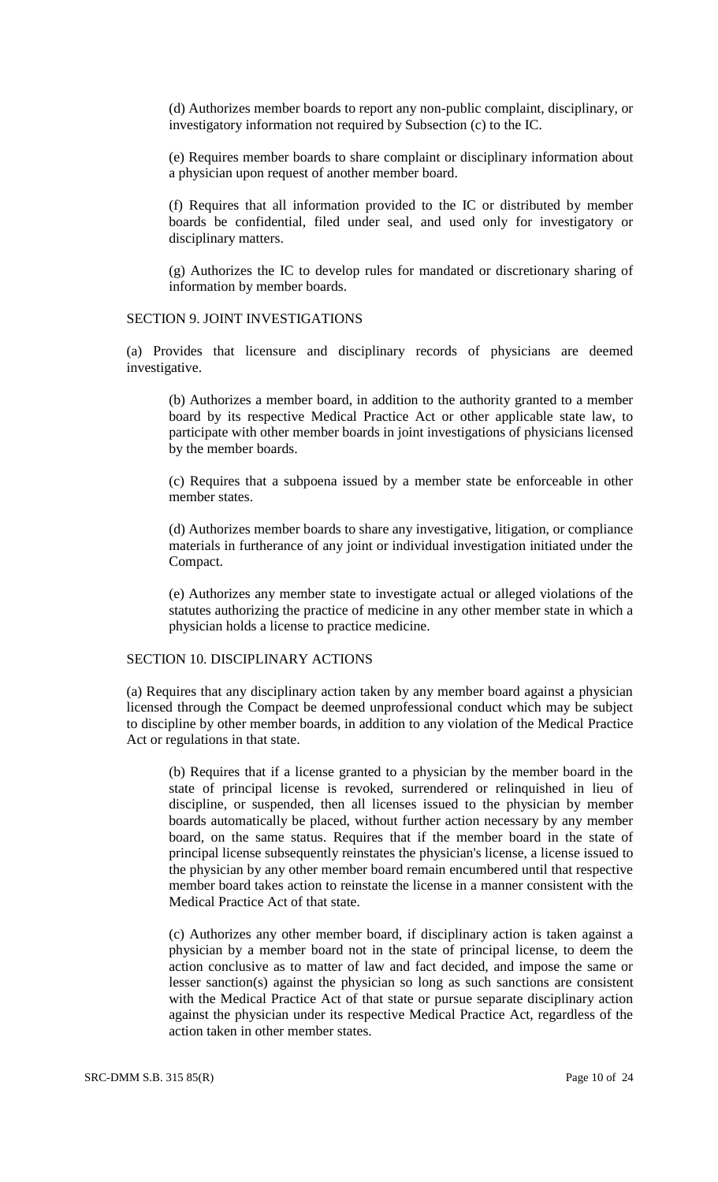(d) Authorizes member boards to report any non-public complaint, disciplinary, or investigatory information not required by Subsection (c) to the IC.

(e) Requires member boards to share complaint or disciplinary information about a physician upon request of another member board.

(f) Requires that all information provided to the IC or distributed by member boards be confidential, filed under seal, and used only for investigatory or disciplinary matters.

(g) Authorizes the IC to develop rules for mandated or discretionary sharing of information by member boards.

#### SECTION 9. JOINT INVESTIGATIONS

(a) Provides that licensure and disciplinary records of physicians are deemed investigative.

(b) Authorizes a member board, in addition to the authority granted to a member board by its respective Medical Practice Act or other applicable state law, to participate with other member boards in joint investigations of physicians licensed by the member boards.

(c) Requires that a subpoena issued by a member state be enforceable in other member states.

(d) Authorizes member boards to share any investigative, litigation, or compliance materials in furtherance of any joint or individual investigation initiated under the Compact.

(e) Authorizes any member state to investigate actual or alleged violations of the statutes authorizing the practice of medicine in any other member state in which a physician holds a license to practice medicine.

# SECTION 10. DISCIPLINARY ACTIONS

(a) Requires that any disciplinary action taken by any member board against a physician licensed through the Compact be deemed unprofessional conduct which may be subject to discipline by other member boards, in addition to any violation of the Medical Practice Act or regulations in that state.

(b) Requires that if a license granted to a physician by the member board in the state of principal license is revoked, surrendered or relinquished in lieu of discipline, or suspended, then all licenses issued to the physician by member boards automatically be placed, without further action necessary by any member board, on the same status. Requires that if the member board in the state of principal license subsequently reinstates the physician's license, a license issued to the physician by any other member board remain encumbered until that respective member board takes action to reinstate the license in a manner consistent with the Medical Practice Act of that state.

(c) Authorizes any other member board, if disciplinary action is taken against a physician by a member board not in the state of principal license, to deem the action conclusive as to matter of law and fact decided, and impose the same or lesser sanction(s) against the physician so long as such sanctions are consistent with the Medical Practice Act of that state or pursue separate disciplinary action against the physician under its respective Medical Practice Act, regardless of the action taken in other member states.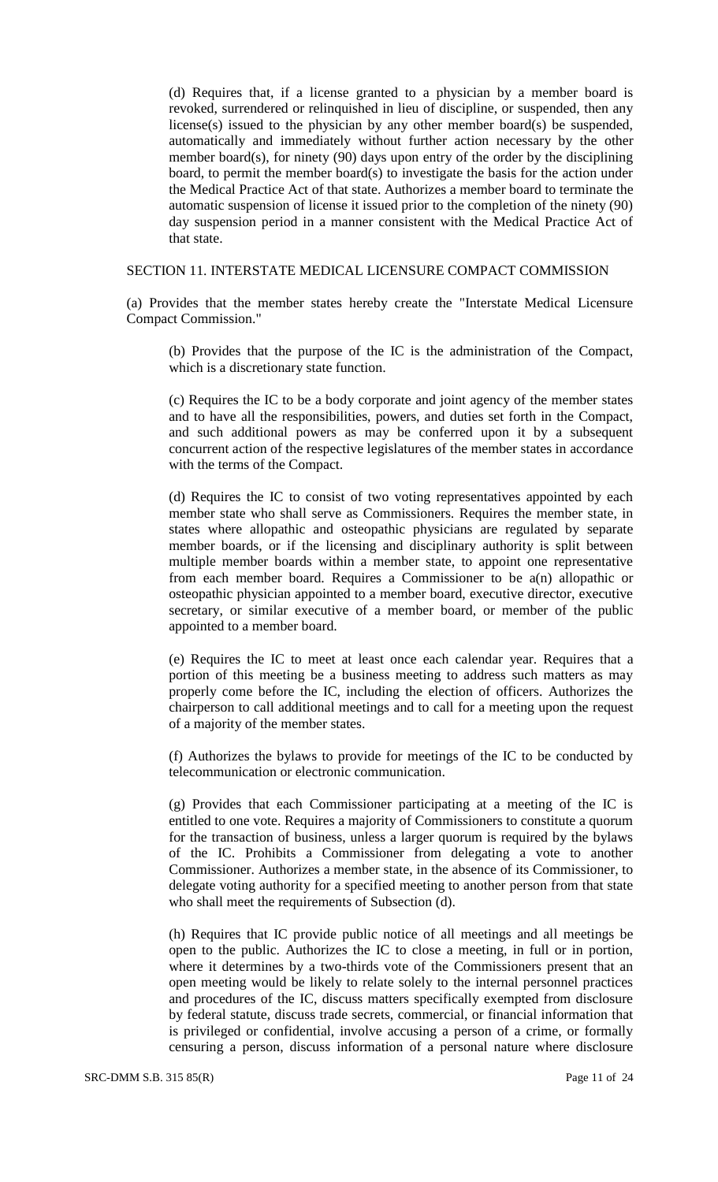(d) Requires that, if a license granted to a physician by a member board is revoked, surrendered or relinquished in lieu of discipline, or suspended, then any license(s) issued to the physician by any other member board(s) be suspended, automatically and immediately without further action necessary by the other member board(s), for ninety (90) days upon entry of the order by the disciplining board, to permit the member board(s) to investigate the basis for the action under the Medical Practice Act of that state. Authorizes a member board to terminate the automatic suspension of license it issued prior to the completion of the ninety (90) day suspension period in a manner consistent with the Medical Practice Act of that state.

### SECTION 11. INTERSTATE MEDICAL LICENSURE COMPACT COMMISSION

(a) Provides that the member states hereby create the "Interstate Medical Licensure Compact Commission."

(b) Provides that the purpose of the IC is the administration of the Compact, which is a discretionary state function.

(c) Requires the IC to be a body corporate and joint agency of the member states and to have all the responsibilities, powers, and duties set forth in the Compact, and such additional powers as may be conferred upon it by a subsequent concurrent action of the respective legislatures of the member states in accordance with the terms of the Compact.

(d) Requires the IC to consist of two voting representatives appointed by each member state who shall serve as Commissioners. Requires the member state, in states where allopathic and osteopathic physicians are regulated by separate member boards, or if the licensing and disciplinary authority is split between multiple member boards within a member state, to appoint one representative from each member board. Requires a Commissioner to be a(n) allopathic or osteopathic physician appointed to a member board, executive director, executive secretary, or similar executive of a member board, or member of the public appointed to a member board.

(e) Requires the IC to meet at least once each calendar year. Requires that a portion of this meeting be a business meeting to address such matters as may properly come before the IC, including the election of officers. Authorizes the chairperson to call additional meetings and to call for a meeting upon the request of a majority of the member states.

(f) Authorizes the bylaws to provide for meetings of the IC to be conducted by telecommunication or electronic communication.

(g) Provides that each Commissioner participating at a meeting of the IC is entitled to one vote. Requires a majority of Commissioners to constitute a quorum for the transaction of business, unless a larger quorum is required by the bylaws of the IC. Prohibits a Commissioner from delegating a vote to another Commissioner. Authorizes a member state, in the absence of its Commissioner, to delegate voting authority for a specified meeting to another person from that state who shall meet the requirements of Subsection (d).

(h) Requires that IC provide public notice of all meetings and all meetings be open to the public. Authorizes the IC to close a meeting, in full or in portion, where it determines by a two-thirds vote of the Commissioners present that an open meeting would be likely to relate solely to the internal personnel practices and procedures of the IC, discuss matters specifically exempted from disclosure by federal statute, discuss trade secrets, commercial, or financial information that is privileged or confidential, involve accusing a person of a crime, or formally censuring a person, discuss information of a personal nature where disclosure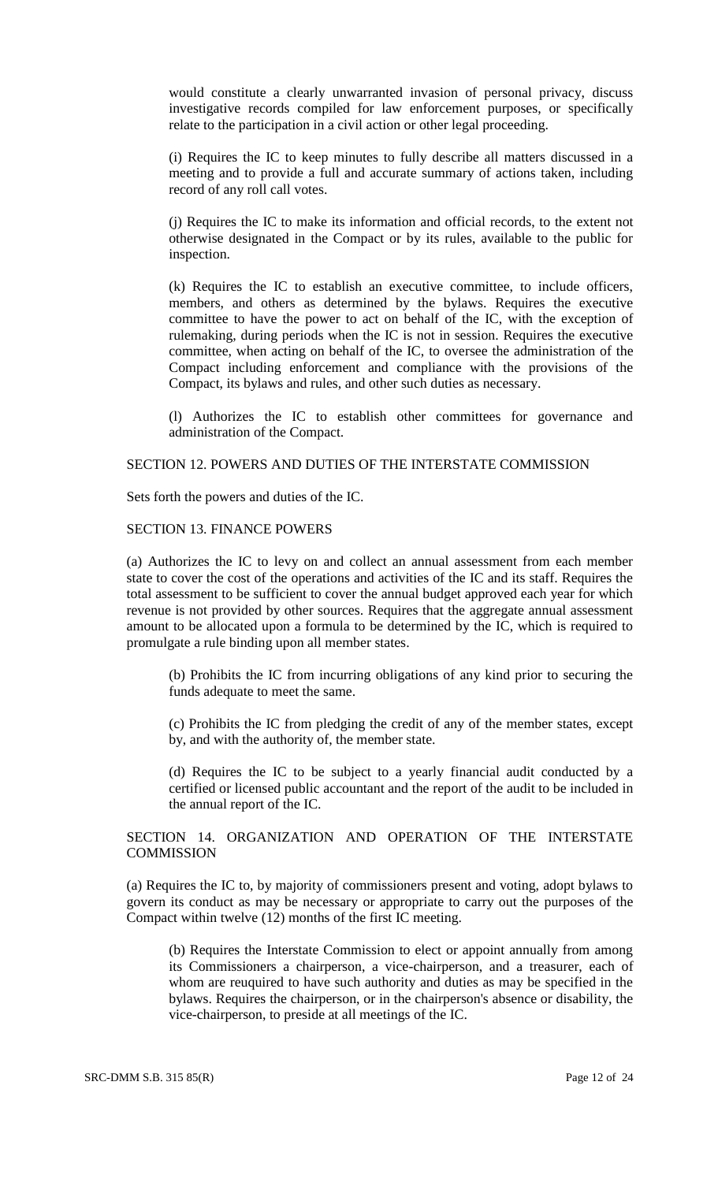would constitute a clearly unwarranted invasion of personal privacy, discuss investigative records compiled for law enforcement purposes, or specifically relate to the participation in a civil action or other legal proceeding.

(i) Requires the IC to keep minutes to fully describe all matters discussed in a meeting and to provide a full and accurate summary of actions taken, including record of any roll call votes.

(j) Requires the IC to make its information and official records, to the extent not otherwise designated in the Compact or by its rules, available to the public for inspection.

(k) Requires the IC to establish an executive committee, to include officers, members, and others as determined by the bylaws. Requires the executive committee to have the power to act on behalf of the IC, with the exception of rulemaking, during periods when the IC is not in session. Requires the executive committee, when acting on behalf of the IC, to oversee the administration of the Compact including enforcement and compliance with the provisions of the Compact, its bylaws and rules, and other such duties as necessary.

(l) Authorizes the IC to establish other committees for governance and administration of the Compact.

#### SECTION 12. POWERS AND DUTIES OF THE INTERSTATE COMMISSION

Sets forth the powers and duties of the IC.

### SECTION 13. FINANCE POWERS

(a) Authorizes the IC to levy on and collect an annual assessment from each member state to cover the cost of the operations and activities of the IC and its staff. Requires the total assessment to be sufficient to cover the annual budget approved each year for which revenue is not provided by other sources. Requires that the aggregate annual assessment amount to be allocated upon a formula to be determined by the IC, which is required to promulgate a rule binding upon all member states.

(b) Prohibits the IC from incurring obligations of any kind prior to securing the funds adequate to meet the same.

(c) Prohibits the IC from pledging the credit of any of the member states, except by, and with the authority of, the member state.

(d) Requires the IC to be subject to a yearly financial audit conducted by a certified or licensed public accountant and the report of the audit to be included in the annual report of the IC.

# SECTION 14. ORGANIZATION AND OPERATION OF THE INTERSTATE **COMMISSION**

(a) Requires the IC to, by majority of commissioners present and voting, adopt bylaws to govern its conduct as may be necessary or appropriate to carry out the purposes of the Compact within twelve (12) months of the first IC meeting.

(b) Requires the Interstate Commission to elect or appoint annually from among its Commissioners a chairperson, a vice-chairperson, and a treasurer, each of whom are reuquired to have such authority and duties as may be specified in the bylaws. Requires the chairperson, or in the chairperson's absence or disability, the vice-chairperson, to preside at all meetings of the IC.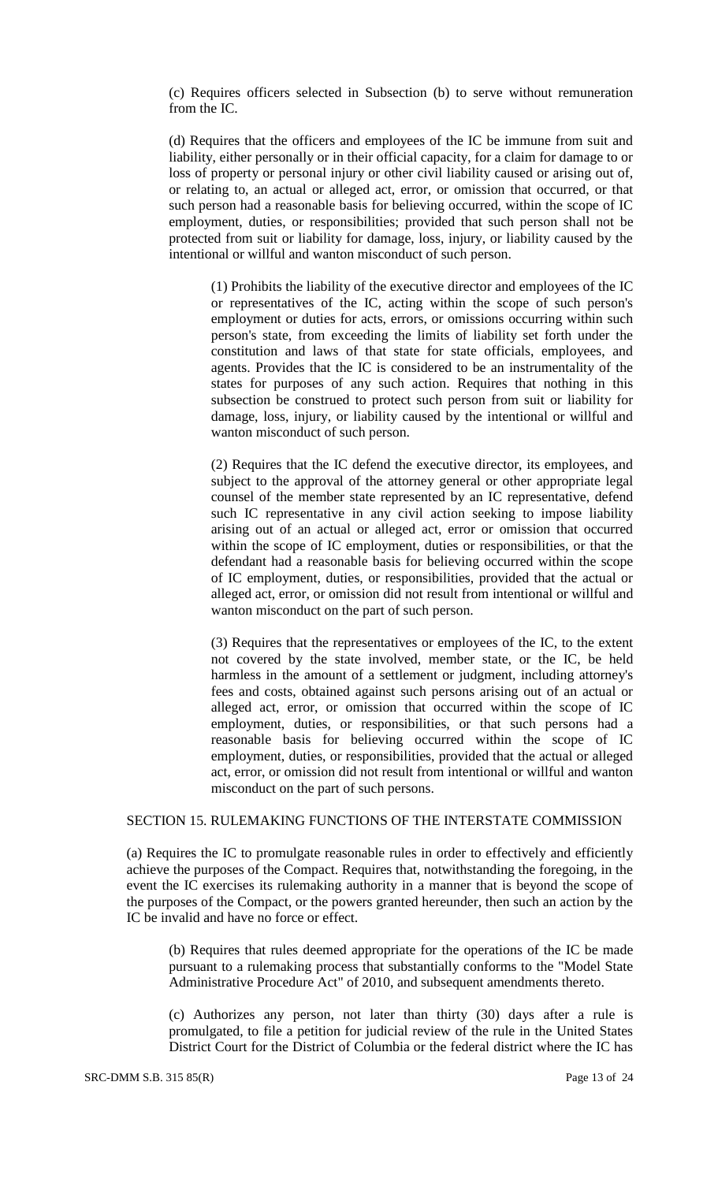(c) Requires officers selected in Subsection (b) to serve without remuneration from the IC.

(d) Requires that the officers and employees of the IC be immune from suit and liability, either personally or in their official capacity, for a claim for damage to or loss of property or personal injury or other civil liability caused or arising out of, or relating to, an actual or alleged act, error, or omission that occurred, or that such person had a reasonable basis for believing occurred, within the scope of IC employment, duties, or responsibilities; provided that such person shall not be protected from suit or liability for damage, loss, injury, or liability caused by the intentional or willful and wanton misconduct of such person.

(1) Prohibits the liability of the executive director and employees of the IC or representatives of the IC, acting within the scope of such person's employment or duties for acts, errors, or omissions occurring within such person's state, from exceeding the limits of liability set forth under the constitution and laws of that state for state officials, employees, and agents. Provides that the IC is considered to be an instrumentality of the states for purposes of any such action. Requires that nothing in this subsection be construed to protect such person from suit or liability for damage, loss, injury, or liability caused by the intentional or willful and wanton misconduct of such person.

(2) Requires that the IC defend the executive director, its employees, and subject to the approval of the attorney general or other appropriate legal counsel of the member state represented by an IC representative, defend such IC representative in any civil action seeking to impose liability arising out of an actual or alleged act, error or omission that occurred within the scope of IC employment, duties or responsibilities, or that the defendant had a reasonable basis for believing occurred within the scope of IC employment, duties, or responsibilities, provided that the actual or alleged act, error, or omission did not result from intentional or willful and wanton misconduct on the part of such person.

(3) Requires that the representatives or employees of the IC, to the extent not covered by the state involved, member state, or the IC, be held harmless in the amount of a settlement or judgment, including attorney's fees and costs, obtained against such persons arising out of an actual or alleged act, error, or omission that occurred within the scope of IC employment, duties, or responsibilities, or that such persons had a reasonable basis for believing occurred within the scope of IC employment, duties, or responsibilities, provided that the actual or alleged act, error, or omission did not result from intentional or willful and wanton misconduct on the part of such persons.

# SECTION 15. RULEMAKING FUNCTIONS OF THE INTERSTATE COMMISSION

(a) Requires the IC to promulgate reasonable rules in order to effectively and efficiently achieve the purposes of the Compact. Requires that, notwithstanding the foregoing, in the event the IC exercises its rulemaking authority in a manner that is beyond the scope of the purposes of the Compact, or the powers granted hereunder, then such an action by the IC be invalid and have no force or effect.

(b) Requires that rules deemed appropriate for the operations of the IC be made pursuant to a rulemaking process that substantially conforms to the "Model State Administrative Procedure Act" of 2010, and subsequent amendments thereto.

(c) Authorizes any person, not later than thirty (30) days after a rule is promulgated, to file a petition for judicial review of the rule in the United States District Court for the District of Columbia or the federal district where the IC has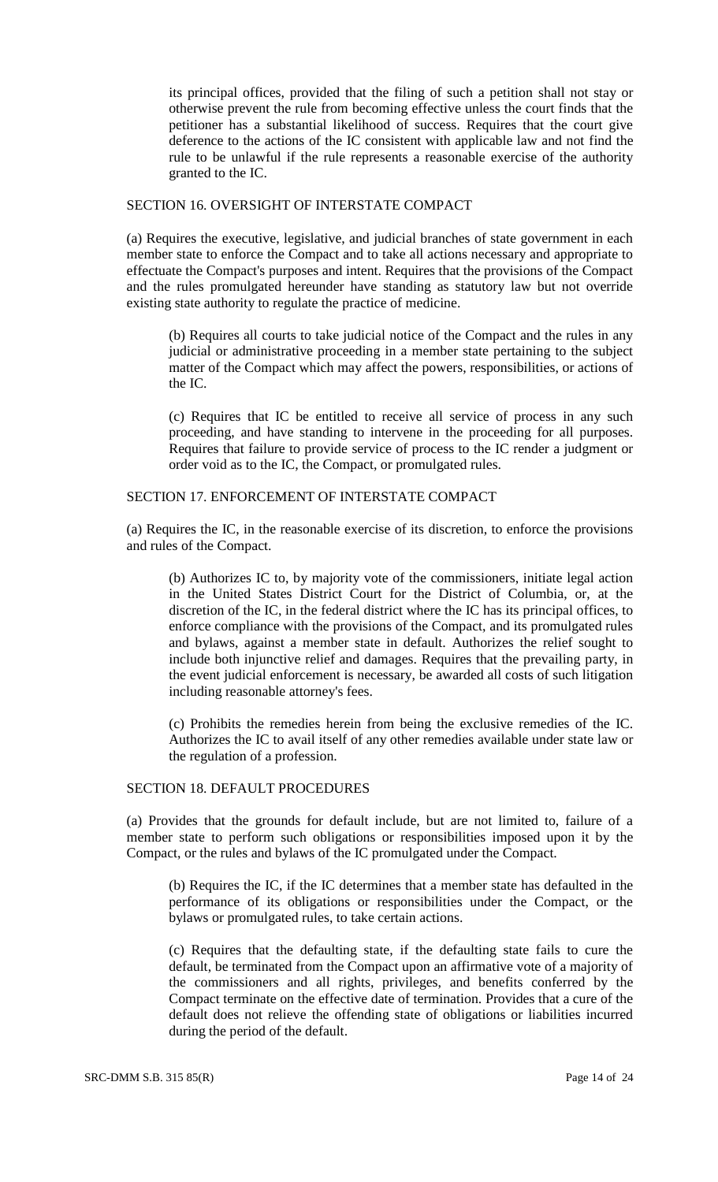its principal offices, provided that the filing of such a petition shall not stay or otherwise prevent the rule from becoming effective unless the court finds that the petitioner has a substantial likelihood of success. Requires that the court give deference to the actions of the IC consistent with applicable law and not find the rule to be unlawful if the rule represents a reasonable exercise of the authority granted to the IC.

### SECTION 16. OVERSIGHT OF INTERSTATE COMPACT

(a) Requires the executive, legislative, and judicial branches of state government in each member state to enforce the Compact and to take all actions necessary and appropriate to effectuate the Compact's purposes and intent. Requires that the provisions of the Compact and the rules promulgated hereunder have standing as statutory law but not override existing state authority to regulate the practice of medicine.

(b) Requires all courts to take judicial notice of the Compact and the rules in any judicial or administrative proceeding in a member state pertaining to the subject matter of the Compact which may affect the powers, responsibilities, or actions of the IC.

(c) Requires that IC be entitled to receive all service of process in any such proceeding, and have standing to intervene in the proceeding for all purposes. Requires that failure to provide service of process to the IC render a judgment or order void as to the IC, the Compact, or promulgated rules.

### SECTION 17. ENFORCEMENT OF INTERSTATE COMPACT

(a) Requires the IC, in the reasonable exercise of its discretion, to enforce the provisions and rules of the Compact.

(b) Authorizes IC to, by majority vote of the commissioners, initiate legal action in the United States District Court for the District of Columbia, or, at the discretion of the IC, in the federal district where the IC has its principal offices, to enforce compliance with the provisions of the Compact, and its promulgated rules and bylaws, against a member state in default. Authorizes the relief sought to include both injunctive relief and damages. Requires that the prevailing party, in the event judicial enforcement is necessary, be awarded all costs of such litigation including reasonable attorney's fees.

(c) Prohibits the remedies herein from being the exclusive remedies of the IC. Authorizes the IC to avail itself of any other remedies available under state law or the regulation of a profession.

# SECTION 18. DEFAULT PROCEDURES

(a) Provides that the grounds for default include, but are not limited to, failure of a member state to perform such obligations or responsibilities imposed upon it by the Compact, or the rules and bylaws of the IC promulgated under the Compact.

(b) Requires the IC, if the IC determines that a member state has defaulted in the performance of its obligations or responsibilities under the Compact, or the bylaws or promulgated rules, to take certain actions.

(c) Requires that the defaulting state, if the defaulting state fails to cure the default, be terminated from the Compact upon an affirmative vote of a majority of the commissioners and all rights, privileges, and benefits conferred by the Compact terminate on the effective date of termination. Provides that a cure of the default does not relieve the offending state of obligations or liabilities incurred during the period of the default.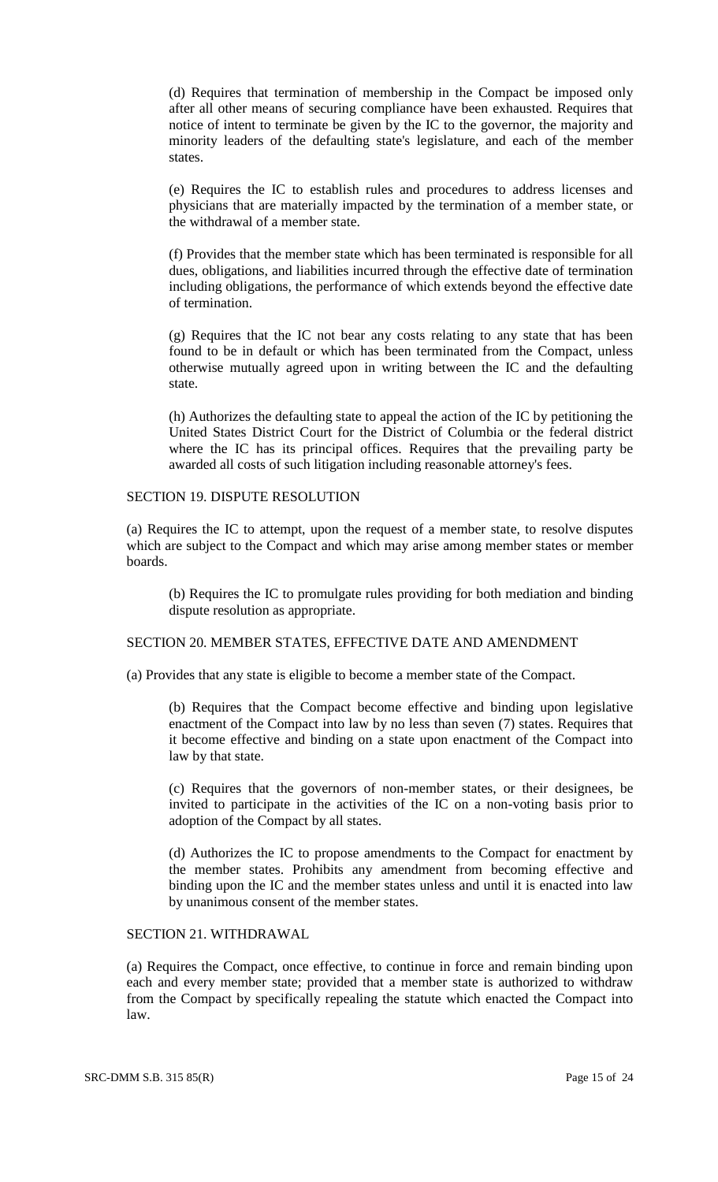(d) Requires that termination of membership in the Compact be imposed only after all other means of securing compliance have been exhausted. Requires that notice of intent to terminate be given by the IC to the governor, the majority and minority leaders of the defaulting state's legislature, and each of the member states.

(e) Requires the IC to establish rules and procedures to address licenses and physicians that are materially impacted by the termination of a member state, or the withdrawal of a member state.

(f) Provides that the member state which has been terminated is responsible for all dues, obligations, and liabilities incurred through the effective date of termination including obligations, the performance of which extends beyond the effective date of termination.

(g) Requires that the IC not bear any costs relating to any state that has been found to be in default or which has been terminated from the Compact, unless otherwise mutually agreed upon in writing between the IC and the defaulting state.

(h) Authorizes the defaulting state to appeal the action of the IC by petitioning the United States District Court for the District of Columbia or the federal district where the IC has its principal offices. Requires that the prevailing party be awarded all costs of such litigation including reasonable attorney's fees.

# SECTION 19. DISPUTE RESOLUTION

(a) Requires the IC to attempt, upon the request of a member state, to resolve disputes which are subject to the Compact and which may arise among member states or member boards.

(b) Requires the IC to promulgate rules providing for both mediation and binding dispute resolution as appropriate.

# SECTION 20. MEMBER STATES, EFFECTIVE DATE AND AMENDMENT

(a) Provides that any state is eligible to become a member state of the Compact.

(b) Requires that the Compact become effective and binding upon legislative enactment of the Compact into law by no less than seven (7) states. Requires that it become effective and binding on a state upon enactment of the Compact into law by that state.

(c) Requires that the governors of non-member states, or their designees, be invited to participate in the activities of the IC on a non-voting basis prior to adoption of the Compact by all states.

(d) Authorizes the IC to propose amendments to the Compact for enactment by the member states. Prohibits any amendment from becoming effective and binding upon the IC and the member states unless and until it is enacted into law by unanimous consent of the member states.

#### SECTION 21. WITHDRAWAL

(a) Requires the Compact, once effective, to continue in force and remain binding upon each and every member state; provided that a member state is authorized to withdraw from the Compact by specifically repealing the statute which enacted the Compact into law.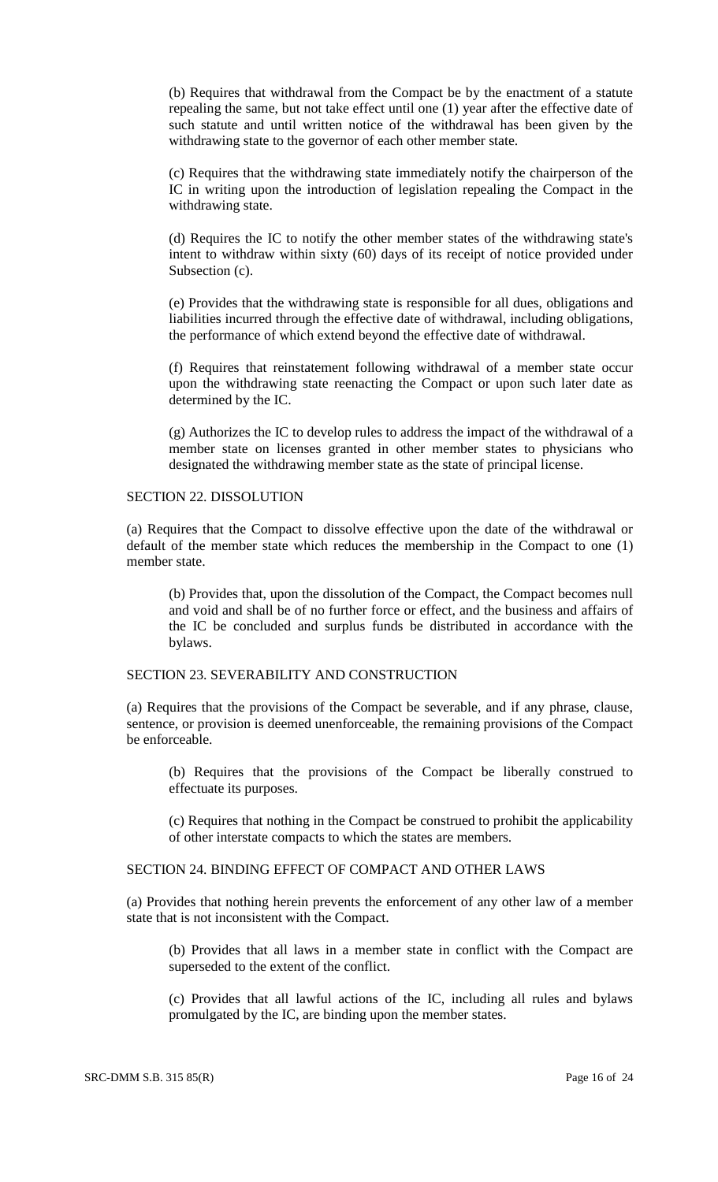(b) Requires that withdrawal from the Compact be by the enactment of a statute repealing the same, but not take effect until one (1) year after the effective date of such statute and until written notice of the withdrawal has been given by the withdrawing state to the governor of each other member state.

(c) Requires that the withdrawing state immediately notify the chairperson of the IC in writing upon the introduction of legislation repealing the Compact in the withdrawing state.

(d) Requires the IC to notify the other member states of the withdrawing state's intent to withdraw within sixty (60) days of its receipt of notice provided under Subsection (c).

(e) Provides that the withdrawing state is responsible for all dues, obligations and liabilities incurred through the effective date of withdrawal, including obligations, the performance of which extend beyond the effective date of withdrawal.

(f) Requires that reinstatement following withdrawal of a member state occur upon the withdrawing state reenacting the Compact or upon such later date as determined by the IC.

(g) Authorizes the IC to develop rules to address the impact of the withdrawal of a member state on licenses granted in other member states to physicians who designated the withdrawing member state as the state of principal license.

### SECTION 22. DISSOLUTION

(a) Requires that the Compact to dissolve effective upon the date of the withdrawal or default of the member state which reduces the membership in the Compact to one (1) member state.

(b) Provides that, upon the dissolution of the Compact, the Compact becomes null and void and shall be of no further force or effect, and the business and affairs of the IC be concluded and surplus funds be distributed in accordance with the bylaws.

# SECTION 23. SEVERABILITY AND CONSTRUCTION

(a) Requires that the provisions of the Compact be severable, and if any phrase, clause, sentence, or provision is deemed unenforceable, the remaining provisions of the Compact be enforceable.

(b) Requires that the provisions of the Compact be liberally construed to effectuate its purposes.

(c) Requires that nothing in the Compact be construed to prohibit the applicability of other interstate compacts to which the states are members.

# SECTION 24. BINDING EFFECT OF COMPACT AND OTHER LAWS

(a) Provides that nothing herein prevents the enforcement of any other law of a member state that is not inconsistent with the Compact.

(b) Provides that all laws in a member state in conflict with the Compact are superseded to the extent of the conflict.

(c) Provides that all lawful actions of the IC, including all rules and bylaws promulgated by the IC, are binding upon the member states.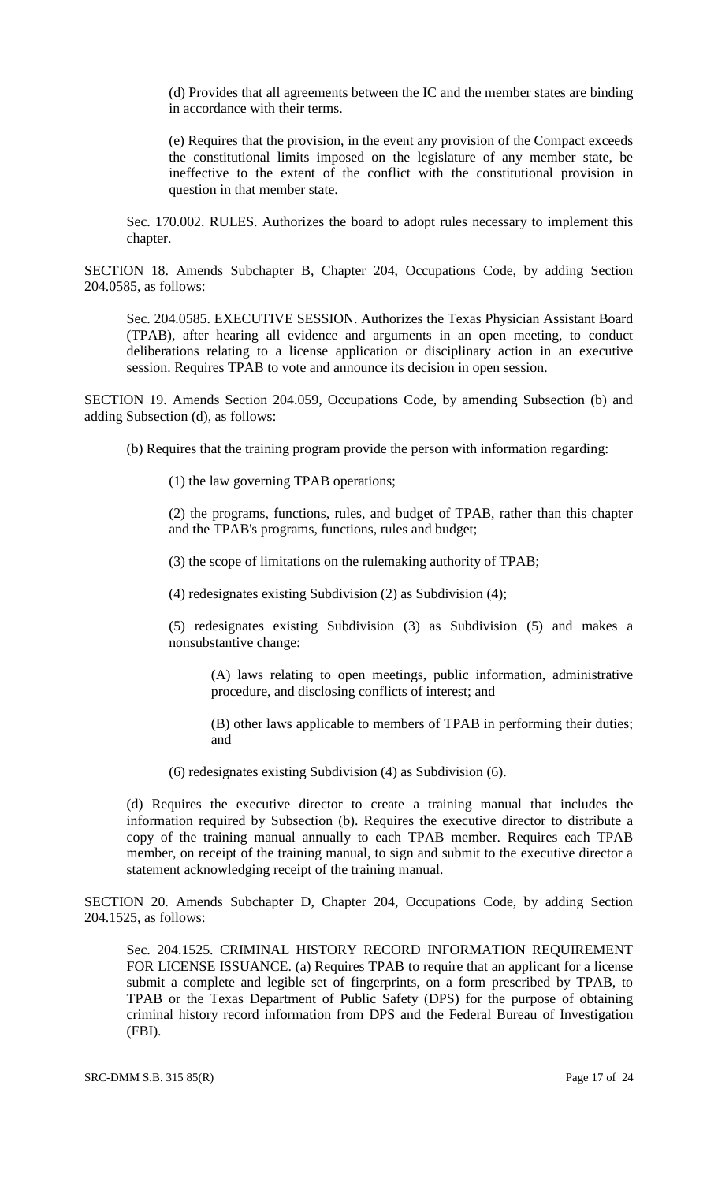(d) Provides that all agreements between the IC and the member states are binding in accordance with their terms.

(e) Requires that the provision, in the event any provision of the Compact exceeds the constitutional limits imposed on the legislature of any member state, be ineffective to the extent of the conflict with the constitutional provision in question in that member state.

Sec. 170.002. RULES. Authorizes the board to adopt rules necessary to implement this chapter.

SECTION 18. Amends Subchapter B, Chapter 204, Occupations Code, by adding Section 204.0585, as follows:

Sec. 204.0585. EXECUTIVE SESSION. Authorizes the Texas Physician Assistant Board (TPAB), after hearing all evidence and arguments in an open meeting, to conduct deliberations relating to a license application or disciplinary action in an executive session. Requires TPAB to vote and announce its decision in open session.

SECTION 19. Amends Section 204.059, Occupations Code, by amending Subsection (b) and adding Subsection (d), as follows:

(b) Requires that the training program provide the person with information regarding:

(1) the law governing TPAB operations;

(2) the programs, functions, rules, and budget of TPAB, rather than this chapter and the TPAB's programs, functions, rules and budget;

(3) the scope of limitations on the rulemaking authority of TPAB;

(4) redesignates existing Subdivision (2) as Subdivision (4);

(5) redesignates existing Subdivision (3) as Subdivision (5) and makes a nonsubstantive change:

(A) laws relating to open meetings, public information, administrative procedure, and disclosing conflicts of interest; and

(B) other laws applicable to members of TPAB in performing their duties; and

(6) redesignates existing Subdivision (4) as Subdivision (6).

(d) Requires the executive director to create a training manual that includes the information required by Subsection (b). Requires the executive director to distribute a copy of the training manual annually to each TPAB member. Requires each TPAB member, on receipt of the training manual, to sign and submit to the executive director a statement acknowledging receipt of the training manual.

SECTION 20. Amends Subchapter D, Chapter 204, Occupations Code, by adding Section 204.1525, as follows:

Sec. 204.1525. CRIMINAL HISTORY RECORD INFORMATION REQUIREMENT FOR LICENSE ISSUANCE. (a) Requires TPAB to require that an applicant for a license submit a complete and legible set of fingerprints, on a form prescribed by TPAB, to TPAB or the Texas Department of Public Safety (DPS) for the purpose of obtaining criminal history record information from DPS and the Federal Bureau of Investigation (FBI).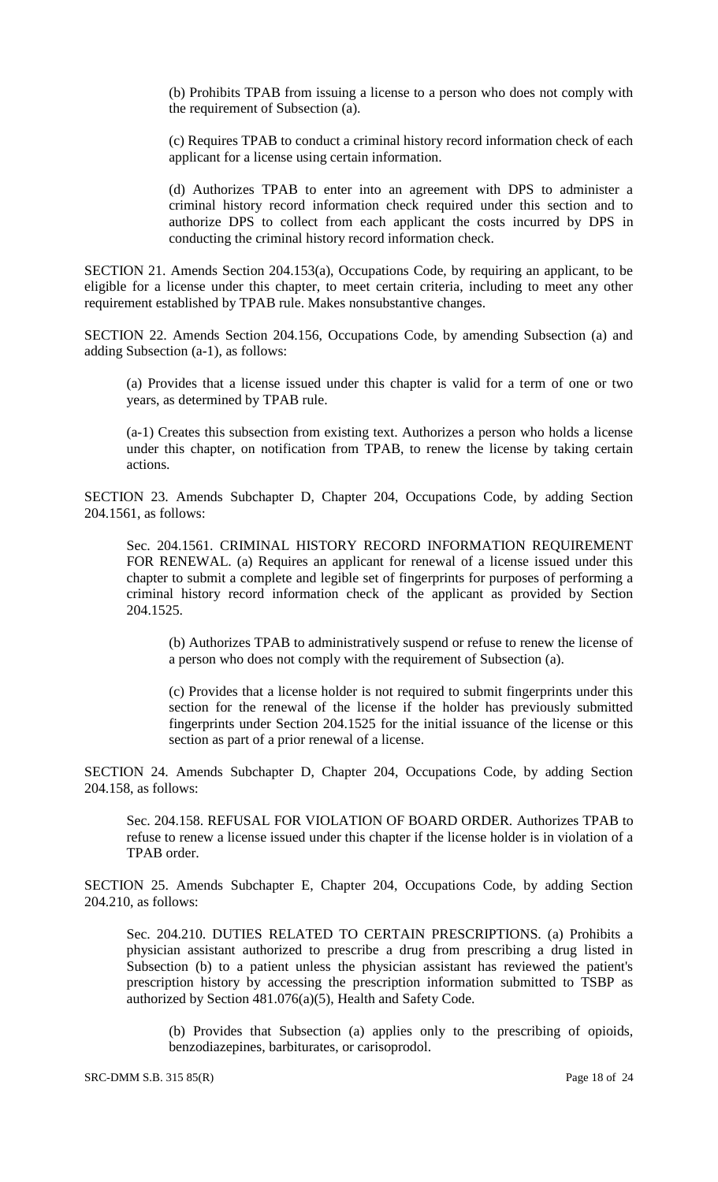(b) Prohibits TPAB from issuing a license to a person who does not comply with the requirement of Subsection (a).

(c) Requires TPAB to conduct a criminal history record information check of each applicant for a license using certain information.

(d) Authorizes TPAB to enter into an agreement with DPS to administer a criminal history record information check required under this section and to authorize DPS to collect from each applicant the costs incurred by DPS in conducting the criminal history record information check.

SECTION 21. Amends Section 204.153(a), Occupations Code, by requiring an applicant, to be eligible for a license under this chapter, to meet certain criteria, including to meet any other requirement established by TPAB rule. Makes nonsubstantive changes.

SECTION 22. Amends Section 204.156, Occupations Code, by amending Subsection (a) and adding Subsection (a-1), as follows:

(a) Provides that a license issued under this chapter is valid for a term of one or two years, as determined by TPAB rule.

(a-1) Creates this subsection from existing text. Authorizes a person who holds a license under this chapter, on notification from TPAB, to renew the license by taking certain actions.

SECTION 23. Amends Subchapter D, Chapter 204, Occupations Code, by adding Section 204.1561, as follows:

Sec. 204.1561. CRIMINAL HISTORY RECORD INFORMATION REQUIREMENT FOR RENEWAL. (a) Requires an applicant for renewal of a license issued under this chapter to submit a complete and legible set of fingerprints for purposes of performing a criminal history record information check of the applicant as provided by Section 204.1525.

(b) Authorizes TPAB to administratively suspend or refuse to renew the license of a person who does not comply with the requirement of Subsection (a).

(c) Provides that a license holder is not required to submit fingerprints under this section for the renewal of the license if the holder has previously submitted fingerprints under Section 204.1525 for the initial issuance of the license or this section as part of a prior renewal of a license.

SECTION 24. Amends Subchapter D, Chapter 204, Occupations Code, by adding Section 204.158, as follows:

Sec. 204.158. REFUSAL FOR VIOLATION OF BOARD ORDER. Authorizes TPAB to refuse to renew a license issued under this chapter if the license holder is in violation of a TPAB order.

SECTION 25. Amends Subchapter E, Chapter 204, Occupations Code, by adding Section 204.210, as follows:

Sec. 204.210. DUTIES RELATED TO CERTAIN PRESCRIPTIONS. (a) Prohibits a physician assistant authorized to prescribe a drug from prescribing a drug listed in Subsection (b) to a patient unless the physician assistant has reviewed the patient's prescription history by accessing the prescription information submitted to TSBP as authorized by Section 481.076(a)(5), Health and Safety Code.

(b) Provides that Subsection (a) applies only to the prescribing of opioids, benzodiazepines, barbiturates, or carisoprodol.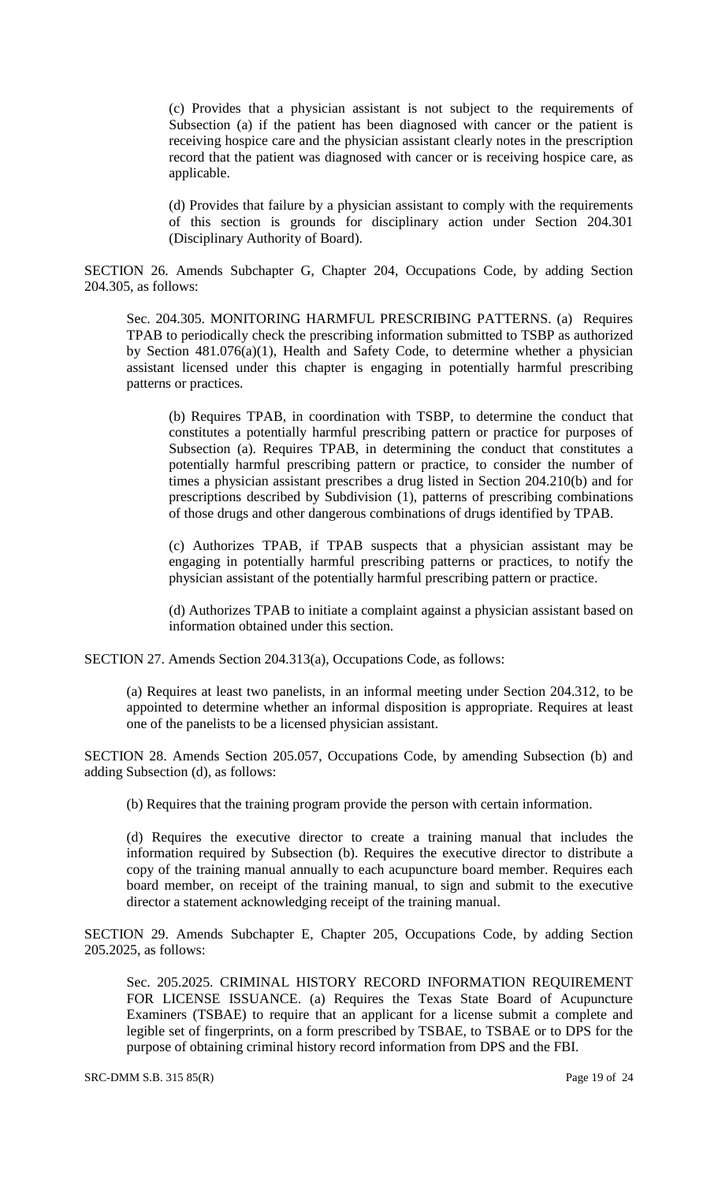(c) Provides that a physician assistant is not subject to the requirements of Subsection (a) if the patient has been diagnosed with cancer or the patient is receiving hospice care and the physician assistant clearly notes in the prescription record that the patient was diagnosed with cancer or is receiving hospice care, as applicable.

(d) Provides that failure by a physician assistant to comply with the requirements of this section is grounds for disciplinary action under Section 204.301 (Disciplinary Authority of Board).

SECTION 26. Amends Subchapter G, Chapter 204, Occupations Code, by adding Section 204.305, as follows:

Sec. 204.305. MONITORING HARMFUL PRESCRIBING PATTERNS. (a) Requires TPAB to periodically check the prescribing information submitted to TSBP as authorized by Section 481.076(a)(1), Health and Safety Code, to determine whether a physician assistant licensed under this chapter is engaging in potentially harmful prescribing patterns or practices.

(b) Requires TPAB, in coordination with TSBP, to determine the conduct that constitutes a potentially harmful prescribing pattern or practice for purposes of Subsection (a). Requires TPAB, in determining the conduct that constitutes a potentially harmful prescribing pattern or practice, to consider the number of times a physician assistant prescribes a drug listed in Section 204.210(b) and for prescriptions described by Subdivision (1), patterns of prescribing combinations of those drugs and other dangerous combinations of drugs identified by TPAB.

(c) Authorizes TPAB, if TPAB suspects that a physician assistant may be engaging in potentially harmful prescribing patterns or practices, to notify the physician assistant of the potentially harmful prescribing pattern or practice.

(d) Authorizes TPAB to initiate a complaint against a physician assistant based on information obtained under this section.

SECTION 27. Amends Section 204.313(a), Occupations Code, as follows:

(a) Requires at least two panelists, in an informal meeting under Section 204.312, to be appointed to determine whether an informal disposition is appropriate. Requires at least one of the panelists to be a licensed physician assistant.

SECTION 28. Amends Section 205.057, Occupations Code, by amending Subsection (b) and adding Subsection (d), as follows:

(b) Requires that the training program provide the person with certain information.

(d) Requires the executive director to create a training manual that includes the information required by Subsection (b). Requires the executive director to distribute a copy of the training manual annually to each acupuncture board member. Requires each board member, on receipt of the training manual, to sign and submit to the executive director a statement acknowledging receipt of the training manual.

SECTION 29. Amends Subchapter E, Chapter 205, Occupations Code, by adding Section 205.2025, as follows:

Sec. 205.2025. CRIMINAL HISTORY RECORD INFORMATION REQUIREMENT FOR LICENSE ISSUANCE. (a) Requires the Texas State Board of Acupuncture Examiners (TSBAE) to require that an applicant for a license submit a complete and legible set of fingerprints, on a form prescribed by TSBAE, to TSBAE or to DPS for the purpose of obtaining criminal history record information from DPS and the FBI.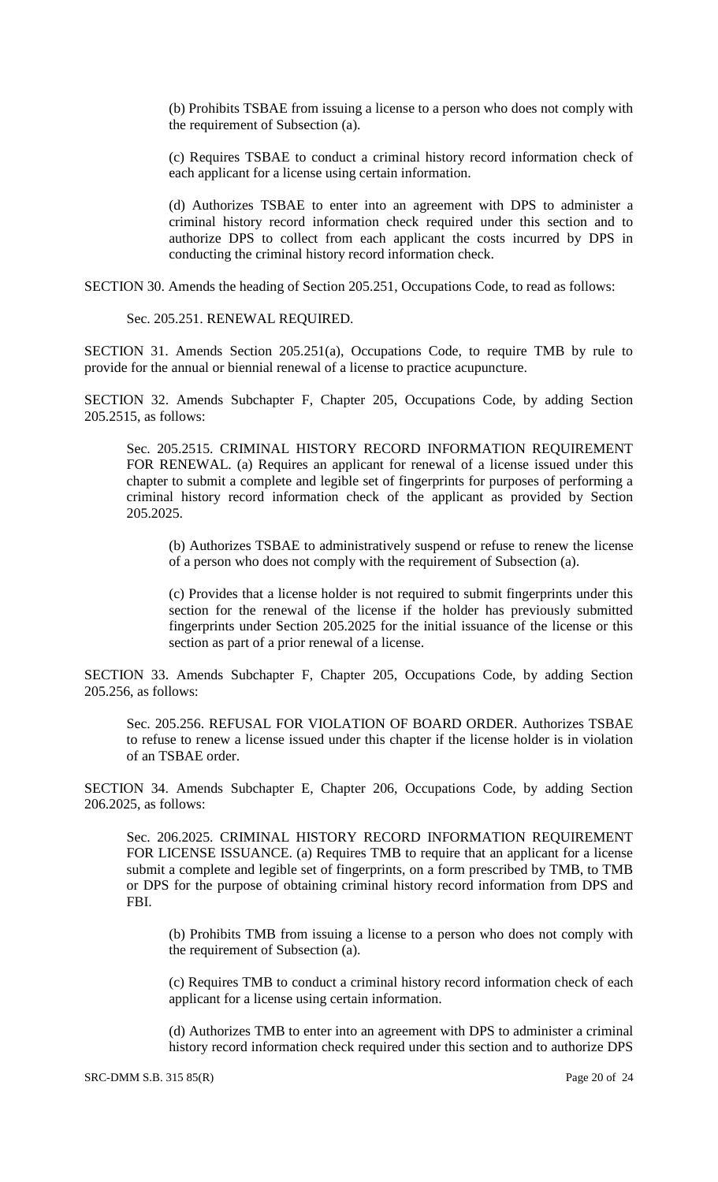(b) Prohibits TSBAE from issuing a license to a person who does not comply with the requirement of Subsection (a).

(c) Requires TSBAE to conduct a criminal history record information check of each applicant for a license using certain information.

(d) Authorizes TSBAE to enter into an agreement with DPS to administer a criminal history record information check required under this section and to authorize DPS to collect from each applicant the costs incurred by DPS in conducting the criminal history record information check.

SECTION 30. Amends the heading of Section 205.251, Occupations Code, to read as follows:

Sec. 205.251. RENEWAL REQUIRED.

SECTION 31. Amends Section 205.251(a), Occupations Code, to require TMB by rule to provide for the annual or biennial renewal of a license to practice acupuncture.

SECTION 32. Amends Subchapter F, Chapter 205, Occupations Code, by adding Section 205.2515, as follows:

Sec. 205.2515. CRIMINAL HISTORY RECORD INFORMATION REQUIREMENT FOR RENEWAL. (a) Requires an applicant for renewal of a license issued under this chapter to submit a complete and legible set of fingerprints for purposes of performing a criminal history record information check of the applicant as provided by Section 205.2025.

(b) Authorizes TSBAE to administratively suspend or refuse to renew the license of a person who does not comply with the requirement of Subsection (a).

(c) Provides that a license holder is not required to submit fingerprints under this section for the renewal of the license if the holder has previously submitted fingerprints under Section 205.2025 for the initial issuance of the license or this section as part of a prior renewal of a license.

SECTION 33. Amends Subchapter F, Chapter 205, Occupations Code, by adding Section 205.256, as follows:

Sec. 205.256. REFUSAL FOR VIOLATION OF BOARD ORDER. Authorizes TSBAE to refuse to renew a license issued under this chapter if the license holder is in violation of an TSBAE order.

SECTION 34. Amends Subchapter E, Chapter 206, Occupations Code, by adding Section 206.2025, as follows:

Sec. 206.2025. CRIMINAL HISTORY RECORD INFORMATION REQUIREMENT FOR LICENSE ISSUANCE. (a) Requires TMB to require that an applicant for a license submit a complete and legible set of fingerprints, on a form prescribed by TMB, to TMB or DPS for the purpose of obtaining criminal history record information from DPS and FBI.

(b) Prohibits TMB from issuing a license to a person who does not comply with the requirement of Subsection (a).

(c) Requires TMB to conduct a criminal history record information check of each applicant for a license using certain information.

(d) Authorizes TMB to enter into an agreement with DPS to administer a criminal history record information check required under this section and to authorize DPS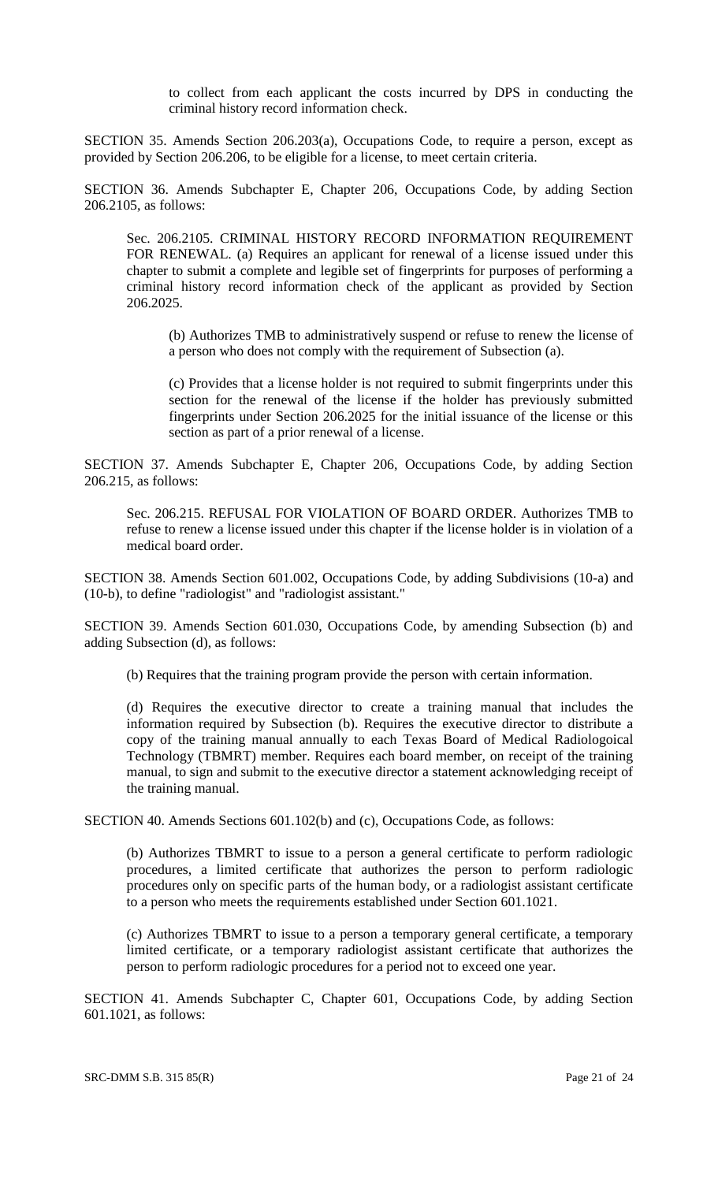to collect from each applicant the costs incurred by DPS in conducting the criminal history record information check.

SECTION 35. Amends Section 206.203(a), Occupations Code, to require a person, except as provided by Section 206.206, to be eligible for a license, to meet certain criteria.

SECTION 36. Amends Subchapter E, Chapter 206, Occupations Code, by adding Section 206.2105, as follows:

Sec. 206.2105. CRIMINAL HISTORY RECORD INFORMATION REQUIREMENT FOR RENEWAL. (a) Requires an applicant for renewal of a license issued under this chapter to submit a complete and legible set of fingerprints for purposes of performing a criminal history record information check of the applicant as provided by Section 206.2025.

(b) Authorizes TMB to administratively suspend or refuse to renew the license of a person who does not comply with the requirement of Subsection (a).

(c) Provides that a license holder is not required to submit fingerprints under this section for the renewal of the license if the holder has previously submitted fingerprints under Section 206.2025 for the initial issuance of the license or this section as part of a prior renewal of a license.

SECTION 37. Amends Subchapter E, Chapter 206, Occupations Code, by adding Section 206.215, as follows:

Sec. 206.215. REFUSAL FOR VIOLATION OF BOARD ORDER. Authorizes TMB to refuse to renew a license issued under this chapter if the license holder is in violation of a medical board order.

SECTION 38. Amends Section 601.002, Occupations Code, by adding Subdivisions (10-a) and (10-b), to define "radiologist" and "radiologist assistant."

SECTION 39. Amends Section 601.030, Occupations Code, by amending Subsection (b) and adding Subsection (d), as follows:

(b) Requires that the training program provide the person with certain information.

(d) Requires the executive director to create a training manual that includes the information required by Subsection (b). Requires the executive director to distribute a copy of the training manual annually to each Texas Board of Medical Radiologoical Technology (TBMRT) member. Requires each board member, on receipt of the training manual, to sign and submit to the executive director a statement acknowledging receipt of the training manual.

SECTION 40. Amends Sections 601.102(b) and (c), Occupations Code, as follows:

(b) Authorizes TBMRT to issue to a person a general certificate to perform radiologic procedures, a limited certificate that authorizes the person to perform radiologic procedures only on specific parts of the human body, or a radiologist assistant certificate to a person who meets the requirements established under Section 601.1021.

(c) Authorizes TBMRT to issue to a person a temporary general certificate, a temporary limited certificate, or a temporary radiologist assistant certificate that authorizes the person to perform radiologic procedures for a period not to exceed one year.

SECTION 41. Amends Subchapter C, Chapter 601, Occupations Code, by adding Section 601.1021, as follows: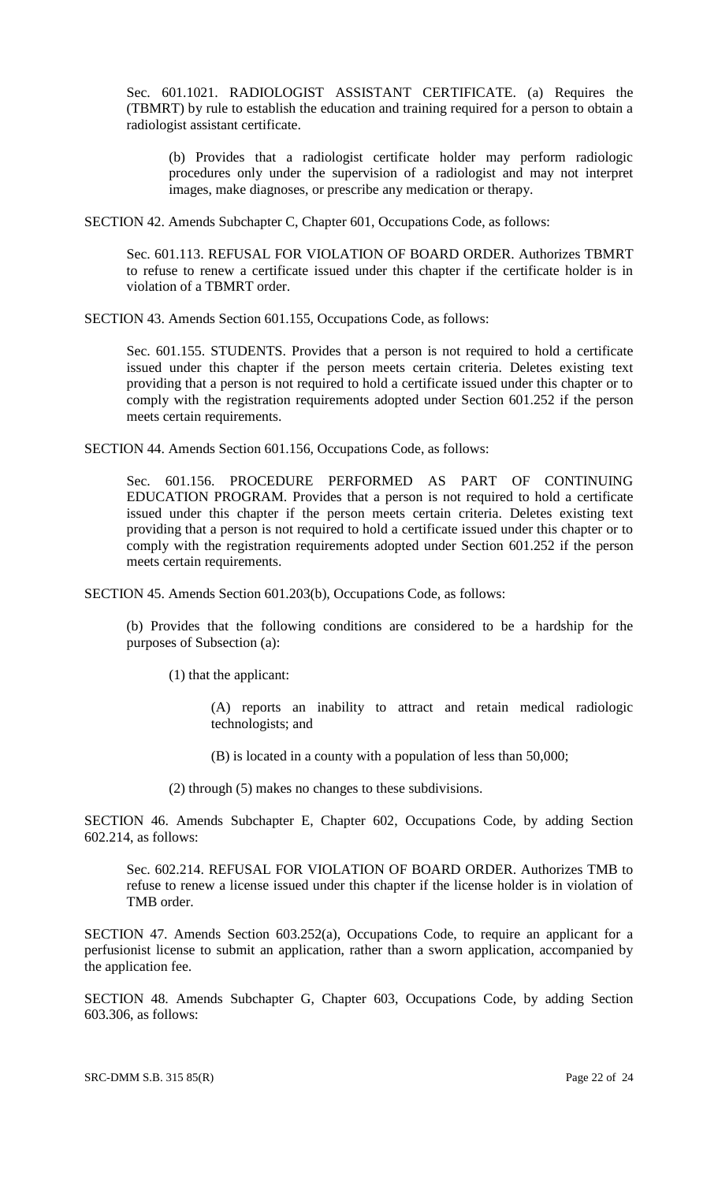Sec. 601.1021. RADIOLOGIST ASSISTANT CERTIFICATE. (a) Requires the (TBMRT) by rule to establish the education and training required for a person to obtain a radiologist assistant certificate.

(b) Provides that a radiologist certificate holder may perform radiologic procedures only under the supervision of a radiologist and may not interpret images, make diagnoses, or prescribe any medication or therapy.

SECTION 42. Amends Subchapter C, Chapter 601, Occupations Code, as follows:

Sec. 601.113. REFUSAL FOR VIOLATION OF BOARD ORDER. Authorizes TBMRT to refuse to renew a certificate issued under this chapter if the certificate holder is in violation of a TBMRT order.

SECTION 43. Amends Section 601.155, Occupations Code, as follows:

Sec. 601.155. STUDENTS. Provides that a person is not required to hold a certificate issued under this chapter if the person meets certain criteria. Deletes existing text providing that a person is not required to hold a certificate issued under this chapter or to comply with the registration requirements adopted under Section 601.252 if the person meets certain requirements.

SECTION 44. Amends Section 601.156, Occupations Code, as follows:

Sec. 601.156. PROCEDURE PERFORMED AS PART OF CONTINUING EDUCATION PROGRAM. Provides that a person is not required to hold a certificate issued under this chapter if the person meets certain criteria. Deletes existing text providing that a person is not required to hold a certificate issued under this chapter or to comply with the registration requirements adopted under Section 601.252 if the person meets certain requirements.

SECTION 45. Amends Section 601.203(b), Occupations Code, as follows:

(b) Provides that the following conditions are considered to be a hardship for the purposes of Subsection (a):

(1) that the applicant:

(A) reports an inability to attract and retain medical radiologic technologists; and

(B) is located in a county with a population of less than 50,000;

(2) through (5) makes no changes to these subdivisions.

SECTION 46. Amends Subchapter E, Chapter 602, Occupations Code, by adding Section 602.214, as follows:

Sec. 602.214. REFUSAL FOR VIOLATION OF BOARD ORDER. Authorizes TMB to refuse to renew a license issued under this chapter if the license holder is in violation of TMB order.

SECTION 47. Amends Section 603.252(a), Occupations Code, to require an applicant for a perfusionist license to submit an application, rather than a sworn application, accompanied by the application fee.

SECTION 48. Amends Subchapter G, Chapter 603, Occupations Code, by adding Section 603.306, as follows: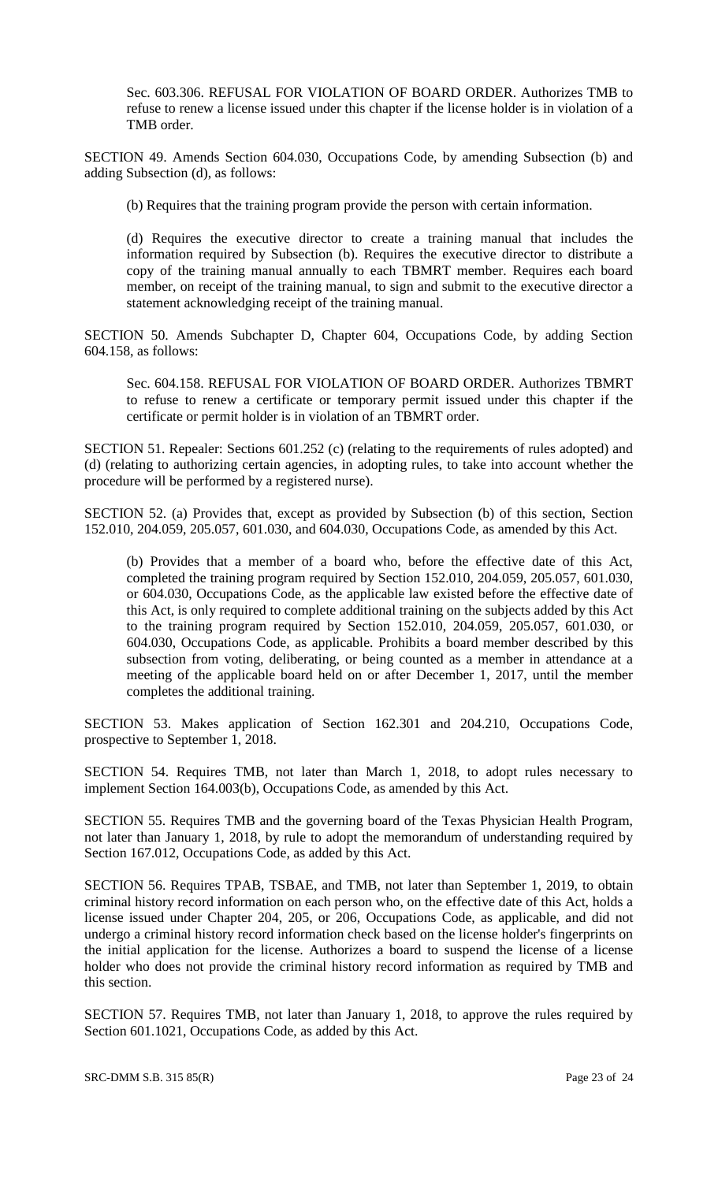Sec. 603.306. REFUSAL FOR VIOLATION OF BOARD ORDER. Authorizes TMB to refuse to renew a license issued under this chapter if the license holder is in violation of a TMB order.

SECTION 49. Amends Section 604.030, Occupations Code, by amending Subsection (b) and adding Subsection (d), as follows:

(b) Requires that the training program provide the person with certain information.

(d) Requires the executive director to create a training manual that includes the information required by Subsection (b). Requires the executive director to distribute a copy of the training manual annually to each TBMRT member. Requires each board member, on receipt of the training manual, to sign and submit to the executive director a statement acknowledging receipt of the training manual.

SECTION 50. Amends Subchapter D, Chapter 604, Occupations Code, by adding Section 604.158, as follows:

Sec. 604.158. REFUSAL FOR VIOLATION OF BOARD ORDER. Authorizes TBMRT to refuse to renew a certificate or temporary permit issued under this chapter if the certificate or permit holder is in violation of an TBMRT order.

SECTION 51. Repealer: Sections 601.252 (c) (relating to the requirements of rules adopted) and (d) (relating to authorizing certain agencies, in adopting rules, to take into account whether the procedure will be performed by a registered nurse).

SECTION 52. (a) Provides that, except as provided by Subsection (b) of this section, Section 152.010, 204.059, 205.057, 601.030, and 604.030, Occupations Code, as amended by this Act.

(b) Provides that a member of a board who, before the effective date of this Act, completed the training program required by Section 152.010, 204.059, 205.057, 601.030, or 604.030, Occupations Code, as the applicable law existed before the effective date of this Act, is only required to complete additional training on the subjects added by this Act to the training program required by Section 152.010, 204.059, 205.057, 601.030, or 604.030, Occupations Code, as applicable. Prohibits a board member described by this subsection from voting, deliberating, or being counted as a member in attendance at a meeting of the applicable board held on or after December 1, 2017, until the member completes the additional training.

SECTION 53. Makes application of Section 162.301 and 204.210, Occupations Code, prospective to September 1, 2018.

SECTION 54. Requires TMB, not later than March 1, 2018, to adopt rules necessary to implement Section 164.003(b), Occupations Code, as amended by this Act.

SECTION 55. Requires TMB and the governing board of the Texas Physician Health Program, not later than January 1, 2018, by rule to adopt the memorandum of understanding required by Section 167.012, Occupations Code, as added by this Act.

SECTION 56. Requires TPAB, TSBAE, and TMB, not later than September 1, 2019, to obtain criminal history record information on each person who, on the effective date of this Act, holds a license issued under Chapter 204, 205, or 206, Occupations Code, as applicable, and did not undergo a criminal history record information check based on the license holder's fingerprints on the initial application for the license. Authorizes a board to suspend the license of a license holder who does not provide the criminal history record information as required by TMB and this section.

SECTION 57. Requires TMB, not later than January 1, 2018, to approve the rules required by Section 601.1021, Occupations Code, as added by this Act.